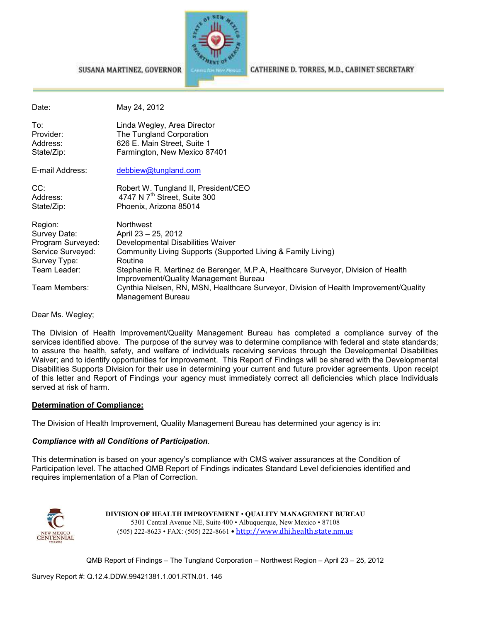

CATHERINE D. TORRES, M.D., CABINET SECRETARY

#### SUSANA MARTINEZ, GOVERNOR

| Date:                                                             | May 24, 2012                                                                                                                                 |
|-------------------------------------------------------------------|----------------------------------------------------------------------------------------------------------------------------------------------|
| To:<br>Provider:<br>Address:<br>State/Zip:                        | Linda Wegley, Area Director<br>The Tungland Corporation<br>626 E. Main Street, Suite 1<br>Farmington, New Mexico 87401                       |
| E-mail Address:                                                   | debbiew@tungland.com                                                                                                                         |
| CC:<br>Address:<br>State/Zip:                                     | Robert W. Tungland II, President/CEO<br>4747 N 7 <sup>th</sup> Street, Suite 300<br>Phoenix, Arizona 85014                                   |
| Region:<br>Survey Date:<br>Program Surveyed:<br>Service Surveyed: | <b>Northwest</b><br>April 23 - 25, 2012<br>Developmental Disabilities Waiver<br>Community Living Supports (Supported Living & Family Living) |
| Survey Type:                                                      | Routine                                                                                                                                      |
| Team Leader:                                                      | Stephanie R. Martinez de Berenger, M.P.A, Healthcare Surveyor, Division of Health<br>Improvement/Quality Management Bureau                   |
| Team Members:                                                     | Cynthia Nielsen, RN, MSN, Healthcare Surveyor, Division of Health Improvement/Quality<br>Management Bureau                                   |

Dear Ms. Wegley;

The Division of Health Improvement/Quality Management Bureau has completed a compliance survey of the services identified above. The purpose of the survey was to determine compliance with federal and state standards; to assure the health, safety, and welfare of individuals receiving services through the Developmental Disabilities Waiver; and to identify opportunities for improvement. This Report of Findings will be shared with the Developmental Disabilities Supports Division for their use in determining your current and future provider agreements. Upon receipt of this letter and Report of Findings your agency must immediately correct all deficiencies which place Individuals served at risk of harm.

#### **Determination of Compliance:**

The Division of Health Improvement, Quality Management Bureau has determined your agency is in:

#### *Compliance with all Conditions of Participation*.

This determination is based on your agency's compliance with CMS waiver assurances at the Condition of Participation level. The attached QMB Report of Findings indicates Standard Level deficiencies identified and requires implementation of a Plan of Correction.



**DIVISION OF HEALTH IMPROVEMENT** • **QUALITY MANAGEMENT BUREAU** 5301 Central Avenue NE, Suite 400 • Albuquerque, New Mexico • 87108 (505) 222-8623 • FAX: (505) 222-8661 • http://www.dhi.health.state.nm.us

QMB Report of Findings – The Tungland Corporation – Northwest Region – April 23 – 25, 2012

Survey Report #: Q.12.4.DDW.99421381.1.001.RTN.01. 146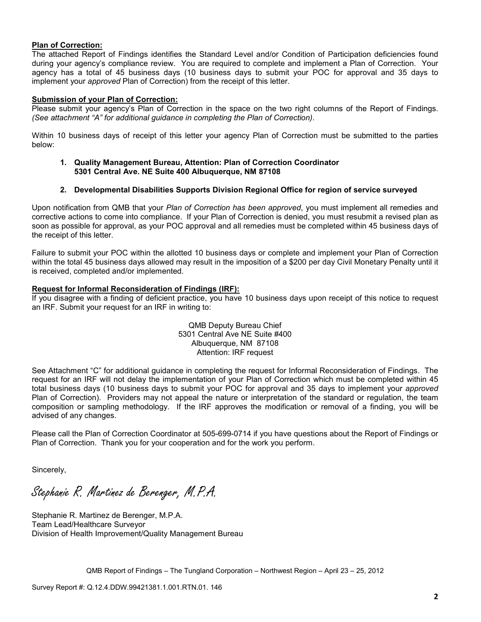#### **Plan of Correction:**

The attached Report of Findings identifies the Standard Level and/or Condition of Participation deficiencies found during your agency's compliance review. You are required to complete and implement a Plan of Correction. Your agency has a total of 45 business days (10 business days to submit your POC for approval and 35 days to implement your *approved* Plan of Correction) from the receipt of this letter.

#### **Submission of your Plan of Correction:**

Please submit your agency's Plan of Correction in the space on the two right columns of the Report of Findings. *(See attachment "A" for additional guidance in completing the Plan of Correction)*.

Within 10 business days of receipt of this letter your agency Plan of Correction must be submitted to the parties below:

#### **1. Quality Management Bureau, Attention: Plan of Correction Coordinator 5301 Central Ave. NE Suite 400 Albuquerque, NM 87108**

#### **2. Developmental Disabilities Supports Division Regional Office for region of service surveyed**

Upon notification from QMB that your *Plan of Correction has been approved*, you must implement all remedies and corrective actions to come into compliance. If your Plan of Correction is denied, you must resubmit a revised plan as soon as possible for approval, as your POC approval and all remedies must be completed within 45 business days of the receipt of this letter.

Failure to submit your POC within the allotted 10 business days or complete and implement your Plan of Correction within the total 45 business days allowed may result in the imposition of a \$200 per day Civil Monetary Penalty until it is received, completed and/or implemented.

#### **Request for Informal Reconsideration of Findings (IRF):**

If you disagree with a finding of deficient practice, you have 10 business days upon receipt of this notice to request an IRF. Submit your request for an IRF in writing to:

> QMB Deputy Bureau Chief 5301 Central Ave NE Suite #400 Albuquerque, NM 87108 Attention: IRF request

See Attachment "C" for additional guidance in completing the request for Informal Reconsideration of Findings. The request for an IRF will not delay the implementation of your Plan of Correction which must be completed within 45 total business days (10 business days to submit your POC for approval and 35 days to implement your *approved* Plan of Correction). Providers may not appeal the nature or interpretation of the standard or regulation, the team composition or sampling methodology. If the IRF approves the modification or removal of a finding, you will be advised of any changes.

Please call the Plan of Correction Coordinator at 505-699-0714 if you have questions about the Report of Findings or Plan of Correction. Thank you for your cooperation and for the work you perform.

Sincerely,

Stephanie R. Martinez de Berenger, M.P.A.

Stephanie R. Martinez de Berenger, M.P.A. Team Lead/Healthcare Surveyor Division of Health Improvement/Quality Management Bureau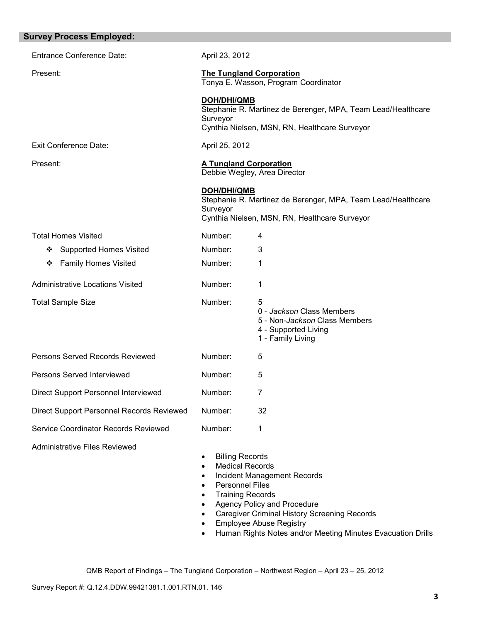| <b>Survey Process Employed:</b>           |                                                                                                                                                                             |                                                                                                                                                            |
|-------------------------------------------|-----------------------------------------------------------------------------------------------------------------------------------------------------------------------------|------------------------------------------------------------------------------------------------------------------------------------------------------------|
| <b>Entrance Conference Date:</b>          | April 23, 2012                                                                                                                                                              |                                                                                                                                                            |
| Present:                                  |                                                                                                                                                                             | <b>The Tungland Corporation</b><br>Tonya E. Wasson, Program Coordinator                                                                                    |
|                                           | <b>DOH/DHI/QMB</b><br>Surveyor                                                                                                                                              | Stephanie R. Martinez de Berenger, MPA, Team Lead/Healthcare<br>Cynthia Nielsen, MSN, RN, Healthcare Surveyor                                              |
| <b>Exit Conference Date:</b>              | April 25, 2012                                                                                                                                                              |                                                                                                                                                            |
| Present:                                  | <b>A Tungland Corporation</b>                                                                                                                                               | Debbie Wegley, Area Director                                                                                                                               |
|                                           | <b>DOH/DHI/QMB</b><br>Surveyor                                                                                                                                              | Stephanie R. Martinez de Berenger, MPA, Team Lead/Healthcare<br>Cynthia Nielsen, MSN, RN, Healthcare Surveyor                                              |
| <b>Total Homes Visited</b>                | Number:                                                                                                                                                                     | 4                                                                                                                                                          |
| <b>Supported Homes Visited</b><br>❖       | Number:                                                                                                                                                                     | 3                                                                                                                                                          |
| <b>Family Homes Visited</b><br>❖          | Number:                                                                                                                                                                     | 1                                                                                                                                                          |
| Administrative Locations Visited          | Number:                                                                                                                                                                     | 1                                                                                                                                                          |
| <b>Total Sample Size</b>                  | Number:                                                                                                                                                                     | 5<br>0 - Jackson Class Members<br>5 - Non-Jackson Class Members<br>4 - Supported Living<br>1 - Family Living                                               |
| Persons Served Records Reviewed           | Number:                                                                                                                                                                     | 5                                                                                                                                                          |
| Persons Served Interviewed                | Number:                                                                                                                                                                     | 5                                                                                                                                                          |
| Direct Support Personnel Interviewed      | Number:                                                                                                                                                                     | 7                                                                                                                                                          |
| Direct Support Personnel Records Reviewed | Number:                                                                                                                                                                     | 32                                                                                                                                                         |
| Service Coordinator Records Reviewed      | Number:                                                                                                                                                                     | 1                                                                                                                                                          |
| <b>Administrative Files Reviewed</b>      | <b>Billing Records</b><br>$\bullet$<br><b>Medical Records</b><br>$\bullet$<br><b>Personnel Files</b><br>$\bullet$<br><b>Training Records</b><br>$\bullet$<br>$\bullet$<br>٠ | <b>Incident Management Records</b><br>Agency Policy and Procedure<br><b>Caregiver Criminal History Screening Records</b><br><b>Employee Abuse Registry</b> |

• Human Rights Notes and/or Meeting Minutes Evacuation Drills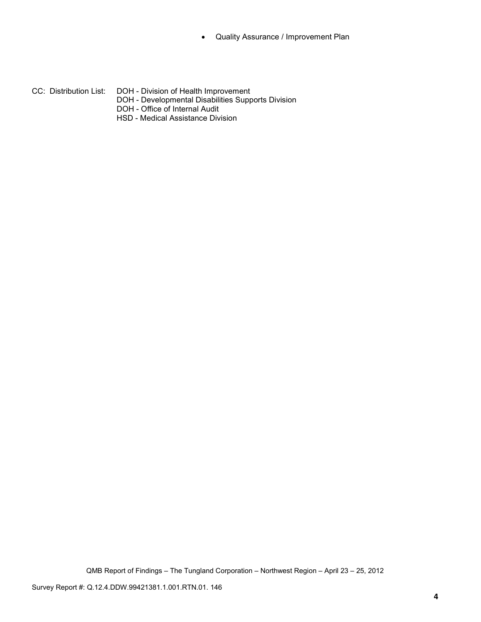- Quality Assurance / Improvement Plan
- CC: Distribution List: DOH Division of Health Improvement DOH - Developmental Disabilities Supports Division DOH - Office of Internal Audit HSD - Medical Assistance Division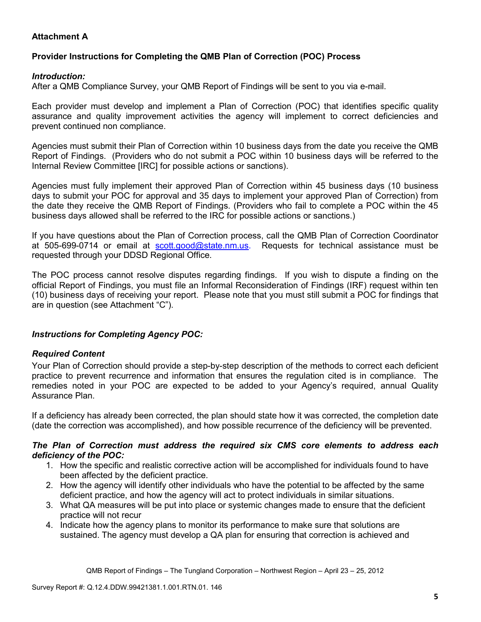## **Attachment A**

## **Provider Instructions for Completing the QMB Plan of Correction (POC) Process**

### *Introduction:*

After a QMB Compliance Survey, your QMB Report of Findings will be sent to you via e-mail.

Each provider must develop and implement a Plan of Correction (POC) that identifies specific quality assurance and quality improvement activities the agency will implement to correct deficiencies and prevent continued non compliance.

Agencies must submit their Plan of Correction within 10 business days from the date you receive the QMB Report of Findings. (Providers who do not submit a POC within 10 business days will be referred to the Internal Review Committee [IRC] for possible actions or sanctions).

Agencies must fully implement their approved Plan of Correction within 45 business days (10 business days to submit your POC for approval and 35 days to implement your approved Plan of Correction) from the date they receive the QMB Report of Findings. (Providers who fail to complete a POC within the 45 business days allowed shall be referred to the IRC for possible actions or sanctions.)

If you have questions about the Plan of Correction process, call the QMB Plan of Correction Coordinator at 505-699-0714 or email at scott.good@state.nm.us. Requests for technical assistance must be requested through your DDSD Regional Office.

The POC process cannot resolve disputes regarding findings. If you wish to dispute a finding on the official Report of Findings, you must file an Informal Reconsideration of Findings (IRF) request within ten (10) business days of receiving your report. Please note that you must still submit a POC for findings that are in question (see Attachment "C").

## *Instructions for Completing Agency POC:*

## *Required Content*

Your Plan of Correction should provide a step-by-step description of the methods to correct each deficient practice to prevent recurrence and information that ensures the regulation cited is in compliance. The remedies noted in your POC are expected to be added to your Agency's required, annual Quality Assurance Plan.

If a deficiency has already been corrected, the plan should state how it was corrected, the completion date (date the correction was accomplished), and how possible recurrence of the deficiency will be prevented.

#### *The Plan of Correction must address the required six CMS core elements to address each deficiency of the POC:*

- 1. How the specific and realistic corrective action will be accomplished for individuals found to have been affected by the deficient practice.
- 2. How the agency will identify other individuals who have the potential to be affected by the same deficient practice, and how the agency will act to protect individuals in similar situations.
- 3. What QA measures will be put into place or systemic changes made to ensure that the deficient practice will not recur
- 4. Indicate how the agency plans to monitor its performance to make sure that solutions are sustained. The agency must develop a QA plan for ensuring that correction is achieved and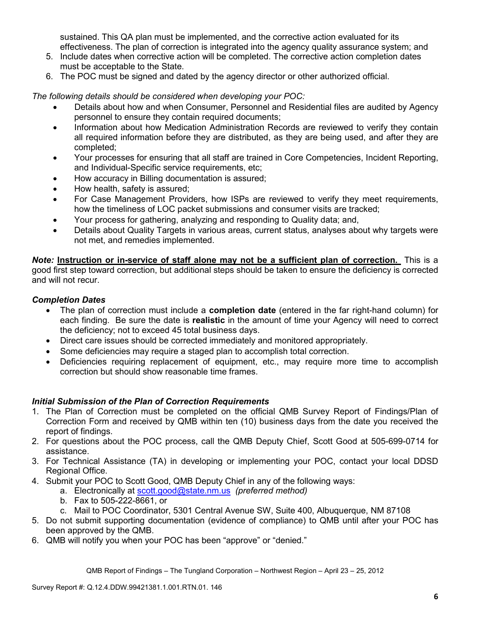sustained. This QA plan must be implemented, and the corrective action evaluated for its effectiveness. The plan of correction is integrated into the agency quality assurance system; and

- 5. Include dates when corrective action will be completed. The corrective action completion dates must be acceptable to the State.
- 6. The POC must be signed and dated by the agency director or other authorized official.

*The following details should be considered when developing your POC:* 

- Details about how and when Consumer, Personnel and Residential files are audited by Agency personnel to ensure they contain required documents;
- Information about how Medication Administration Records are reviewed to verify they contain all required information before they are distributed, as they are being used, and after they are completed;
- Your processes for ensuring that all staff are trained in Core Competencies, Incident Reporting, and Individual-Specific service requirements, etc;
- How accuracy in Billing documentation is assured;
- How health, safety is assured;
- For Case Management Providers, how ISPs are reviewed to verify they meet requirements, how the timeliness of LOC packet submissions and consumer visits are tracked;
- Your process for gathering, analyzing and responding to Quality data; and,
- Details about Quality Targets in various areas, current status, analyses about why targets were not met, and remedies implemented.

*Note:* **Instruction or in-service of staff alone may not be a sufficient plan of correction.** This is a good first step toward correction, but additional steps should be taken to ensure the deficiency is corrected and will not recur.

## *Completion Dates*

- The plan of correction must include a **completion date** (entered in the far right-hand column) for each finding. Be sure the date is **realistic** in the amount of time your Agency will need to correct the deficiency; not to exceed 45 total business days.
- Direct care issues should be corrected immediately and monitored appropriately.
- Some deficiencies may require a staged plan to accomplish total correction.
- Deficiencies requiring replacement of equipment, etc., may require more time to accomplish correction but should show reasonable time frames.

## *Initial Submission of the Plan of Correction Requirements*

- 1. The Plan of Correction must be completed on the official QMB Survey Report of Findings/Plan of Correction Form and received by QMB within ten (10) business days from the date you received the report of findings.
- 2. For questions about the POC process, call the QMB Deputy Chief, Scott Good at 505-699-0714 for assistance.
- 3. For Technical Assistance (TA) in developing or implementing your POC, contact your local DDSD Regional Office.
- 4. Submit your POC to Scott Good, QMB Deputy Chief in any of the following ways:
	- a. Electronically at scott.good@state.nm.us *(preferred method)*
	- b. Fax to 505-222-8661, or
	- c. Mail to POC Coordinator, 5301 Central Avenue SW, Suite 400, Albuquerque, NM 87108
- 5. Do not submit supporting documentation (evidence of compliance) to QMB until after your POC has been approved by the QMB.
- 6. QMB will notify you when your POC has been "approve" or "denied."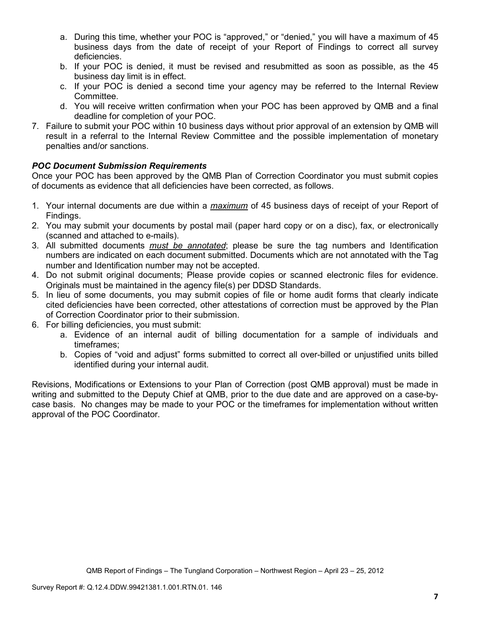- a. During this time, whether your POC is "approved," or "denied," you will have a maximum of 45 business days from the date of receipt of your Report of Findings to correct all survey deficiencies.
- b. If your POC is denied, it must be revised and resubmitted as soon as possible, as the 45 business day limit is in effect.
- c. If your POC is denied a second time your agency may be referred to the Internal Review Committee.
- d. You will receive written confirmation when your POC has been approved by QMB and a final deadline for completion of your POC.
- 7. Failure to submit your POC within 10 business days without prior approval of an extension by QMB will result in a referral to the Internal Review Committee and the possible implementation of monetary penalties and/or sanctions.

## *POC Document Submission Requirements*

Once your POC has been approved by the QMB Plan of Correction Coordinator you must submit copies of documents as evidence that all deficiencies have been corrected, as follows.

- 1. Your internal documents are due within a *maximum* of 45 business days of receipt of your Report of Findings.
- 2. You may submit your documents by postal mail (paper hard copy or on a disc), fax, or electronically (scanned and attached to e-mails).
- 3. All submitted documents *must be annotated*; please be sure the tag numbers and Identification numbers are indicated on each document submitted. Documents which are not annotated with the Tag number and Identification number may not be accepted.
- 4. Do not submit original documents; Please provide copies or scanned electronic files for evidence. Originals must be maintained in the agency file(s) per DDSD Standards.
- 5. In lieu of some documents, you may submit copies of file or home audit forms that clearly indicate cited deficiencies have been corrected, other attestations of correction must be approved by the Plan of Correction Coordinator prior to their submission.
- 6. For billing deficiencies, you must submit:
	- a. Evidence of an internal audit of billing documentation for a sample of individuals and timeframes;
	- b. Copies of "void and adjust" forms submitted to correct all over-billed or unjustified units billed identified during your internal audit.

Revisions, Modifications or Extensions to your Plan of Correction (post QMB approval) must be made in writing and submitted to the Deputy Chief at QMB, prior to the due date and are approved on a case-bycase basis. No changes may be made to your POC or the timeframes for implementation without written approval of the POC Coordinator.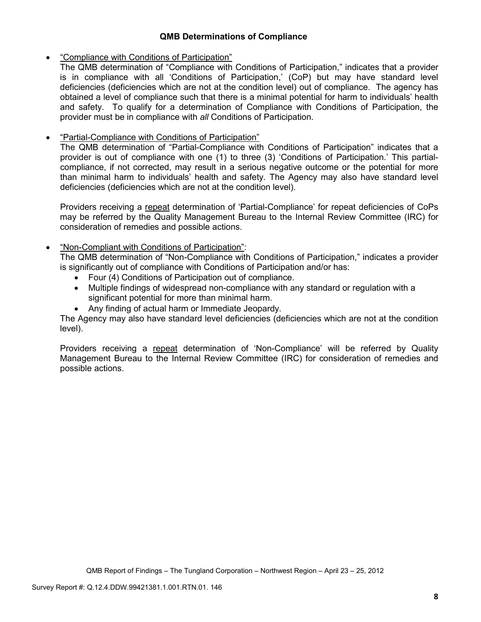## **QMB Determinations of Compliance**

## • "Compliance with Conditions of Participation"

The QMB determination of "Compliance with Conditions of Participation," indicates that a provider is in compliance with all 'Conditions of Participation,' (CoP) but may have standard level deficiencies (deficiencies which are not at the condition level) out of compliance. The agency has obtained a level of compliance such that there is a minimal potential for harm to individuals' health and safety. To qualify for a determination of Compliance with Conditions of Participation, the provider must be in compliance with *all* Conditions of Participation.

## • "Partial-Compliance with Conditions of Participation"

The QMB determination of "Partial-Compliance with Conditions of Participation" indicates that a provider is out of compliance with one (1) to three (3) 'Conditions of Participation.' This partialcompliance, if not corrected, may result in a serious negative outcome or the potential for more than minimal harm to individuals' health and safety. The Agency may also have standard level deficiencies (deficiencies which are not at the condition level).

Providers receiving a repeat determination of 'Partial-Compliance' for repeat deficiencies of CoPs may be referred by the Quality Management Bureau to the Internal Review Committee (IRC) for consideration of remedies and possible actions.

## • "Non-Compliant with Conditions of Participation":

The QMB determination of "Non-Compliance with Conditions of Participation," indicates a provider is significantly out of compliance with Conditions of Participation and/or has:

- Four (4) Conditions of Participation out of compliance.
- Multiple findings of widespread non-compliance with any standard or regulation with a significant potential for more than minimal harm.
- Any finding of actual harm or Immediate Jeopardy.

The Agency may also have standard level deficiencies (deficiencies which are not at the condition level).

Providers receiving a repeat determination of 'Non-Compliance' will be referred by Quality Management Bureau to the Internal Review Committee (IRC) for consideration of remedies and possible actions.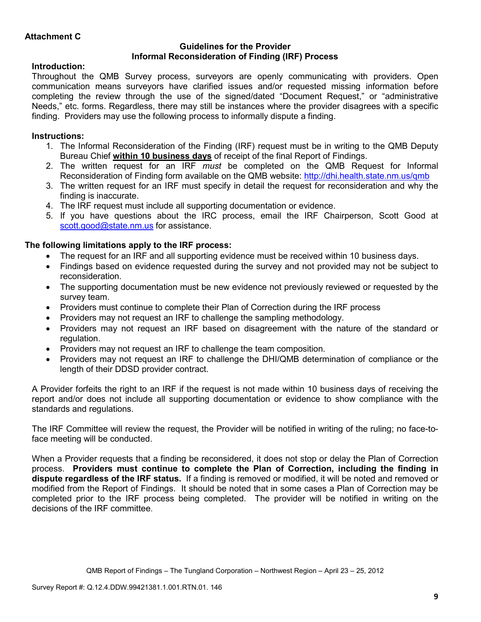### **Guidelines for the Provider Informal Reconsideration of Finding (IRF) Process**

## **Introduction:**

Throughout the QMB Survey process, surveyors are openly communicating with providers. Open communication means surveyors have clarified issues and/or requested missing information before completing the review through the use of the signed/dated "Document Request," or "administrative Needs," etc. forms. Regardless, there may still be instances where the provider disagrees with a specific finding. Providers may use the following process to informally dispute a finding.

# **Instructions:**

- 1. The Informal Reconsideration of the Finding (IRF) request must be in writing to the QMB Deputy Bureau Chief **within 10 business days** of receipt of the final Report of Findings.
- 2. The written request for an IRF *must* be completed on the QMB Request for Informal Reconsideration of Finding form available on the QMB website: http://dhi.health.state.nm.us/qmb
- 3. The written request for an IRF must specify in detail the request for reconsideration and why the finding is inaccurate.
- 4. The IRF request must include all supporting documentation or evidence.
- 5. If you have questions about the IRC process, email the IRF Chairperson, Scott Good at scott.good@state.nm.us for assistance.

## **The following limitations apply to the IRF process:**

- The request for an IRF and all supporting evidence must be received within 10 business days.
- Findings based on evidence requested during the survey and not provided may not be subject to reconsideration.
- The supporting documentation must be new evidence not previously reviewed or requested by the survey team.
- Providers must continue to complete their Plan of Correction during the IRF process
- Providers may not request an IRF to challenge the sampling methodology.
- Providers may not request an IRF based on disagreement with the nature of the standard or regulation.
- Providers may not request an IRF to challenge the team composition.
- Providers may not request an IRF to challenge the DHI/QMB determination of compliance or the length of their DDSD provider contract.

A Provider forfeits the right to an IRF if the request is not made within 10 business days of receiving the report and/or does not include all supporting documentation or evidence to show compliance with the standards and regulations.

The IRF Committee will review the request, the Provider will be notified in writing of the ruling; no face-toface meeting will be conducted.

When a Provider requests that a finding be reconsidered, it does not stop or delay the Plan of Correction process. **Providers must continue to complete the Plan of Correction, including the finding in dispute regardless of the IRF status.** If a finding is removed or modified, it will be noted and removed or modified from the Report of Findings. It should be noted that in some cases a Plan of Correction may be completed prior to the IRF process being completed. The provider will be notified in writing on the decisions of the IRF committee.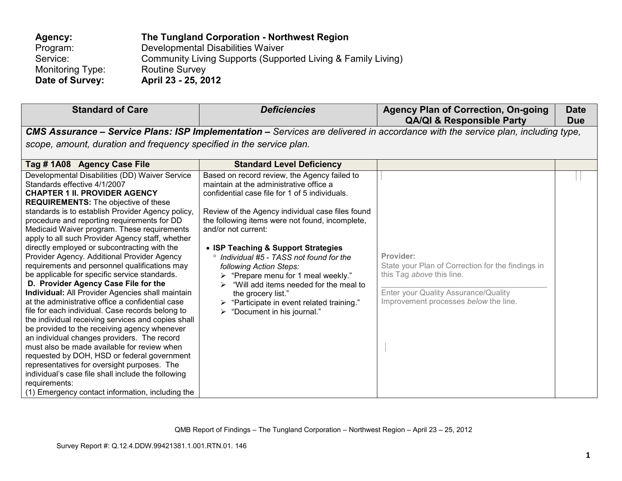| Agency:          | The Tungland Corporation - Northwest Region                  |
|------------------|--------------------------------------------------------------|
| Program:         | Developmental Disabilities Waiver                            |
| Service:         | Community Living Supports (Supported Living & Family Living) |
| Monitoring Type: | <b>Routine Survey</b>                                        |
| Date of Survey:  | April 23 - 25, 2012                                          |

| <b>Standard of Care</b>                                                                                                                                                                                                                                                                                                                                                                                                                                                                                                                                                                                                                                                                                                                                                                                                                                                                                                                                                                                                                                                                                                                                                                                        | <b>Deficiencies</b>                                                                                                                                                                                                                                                                                                                                                                                                                                                                                                                                                                                    | <b>Agency Plan of Correction, On-going</b><br><b>QA/QI &amp; Responsible Party</b>                                                                                           | <b>Date</b><br><b>Due</b> |
|----------------------------------------------------------------------------------------------------------------------------------------------------------------------------------------------------------------------------------------------------------------------------------------------------------------------------------------------------------------------------------------------------------------------------------------------------------------------------------------------------------------------------------------------------------------------------------------------------------------------------------------------------------------------------------------------------------------------------------------------------------------------------------------------------------------------------------------------------------------------------------------------------------------------------------------------------------------------------------------------------------------------------------------------------------------------------------------------------------------------------------------------------------------------------------------------------------------|--------------------------------------------------------------------------------------------------------------------------------------------------------------------------------------------------------------------------------------------------------------------------------------------------------------------------------------------------------------------------------------------------------------------------------------------------------------------------------------------------------------------------------------------------------------------------------------------------------|------------------------------------------------------------------------------------------------------------------------------------------------------------------------------|---------------------------|
|                                                                                                                                                                                                                                                                                                                                                                                                                                                                                                                                                                                                                                                                                                                                                                                                                                                                                                                                                                                                                                                                                                                                                                                                                |                                                                                                                                                                                                                                                                                                                                                                                                                                                                                                                                                                                                        | CMS Assurance - Service Plans: ISP Implementation - Services are delivered in accordance with the service plan, including type,                                              |                           |
| scope, amount, duration and frequency specified in the service plan.                                                                                                                                                                                                                                                                                                                                                                                                                                                                                                                                                                                                                                                                                                                                                                                                                                                                                                                                                                                                                                                                                                                                           |                                                                                                                                                                                                                                                                                                                                                                                                                                                                                                                                                                                                        |                                                                                                                                                                              |                           |
| Tag #1A08 Agency Case File                                                                                                                                                                                                                                                                                                                                                                                                                                                                                                                                                                                                                                                                                                                                                                                                                                                                                                                                                                                                                                                                                                                                                                                     | <b>Standard Level Deficiency</b>                                                                                                                                                                                                                                                                                                                                                                                                                                                                                                                                                                       |                                                                                                                                                                              |                           |
| Developmental Disabilities (DD) Waiver Service<br>Standards effective 4/1/2007<br><b>CHAPTER 1 II. PROVIDER AGENCY</b><br><b>REQUIREMENTS:</b> The objective of these<br>standards is to establish Provider Agency policy,<br>procedure and reporting requirements for DD<br>Medicaid Waiver program. These requirements<br>apply to all such Provider Agency staff, whether<br>directly employed or subcontracting with the<br>Provider Agency. Additional Provider Agency<br>requirements and personnel qualifications may<br>be applicable for specific service standards.<br>D. Provider Agency Case File for the<br>Individual: All Provider Agencies shall maintain<br>at the administrative office a confidential case<br>file for each individual. Case records belong to<br>the individual receiving services and copies shall<br>be provided to the receiving agency whenever<br>an individual changes providers. The record<br>must also be made available for review when<br>requested by DOH, HSD or federal government<br>representatives for oversight purposes. The<br>individual's case file shall include the following<br>requirements:<br>(1) Emergency contact information, including the | Based on record review, the Agency failed to<br>maintain at the administrative office a<br>confidential case file for 1 of 5 individuals.<br>Review of the Agency individual case files found<br>the following items were not found, incomplete,<br>and/or not current:<br>• ISP Teaching & Support Strategies<br>° Individual #5 - TASS not found for the<br>following Action Steps:<br>$\triangleright$ "Prepare menu for 1 meal weekly."<br>"Will add items needed for the meal to<br>the grocery list."<br>$\triangleright$ "Participate in event related training."<br>"Document in his journal." | Provider:<br>State your Plan of Correction for the findings in<br>this Tag above this line.<br>Enter your Quality Assurance/Quality<br>Improvement processes below the line. |                           |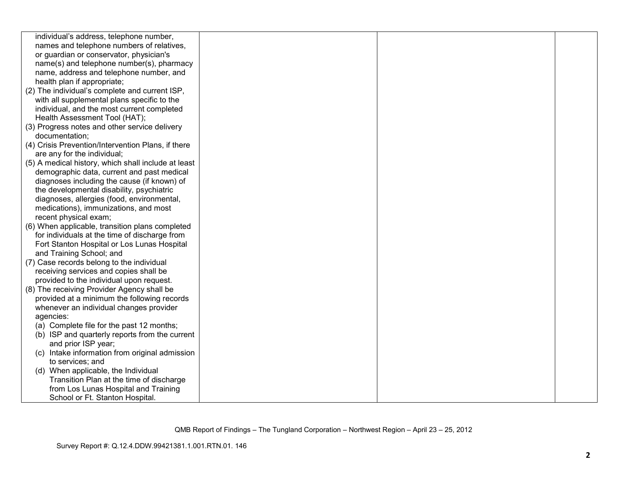| individual's address, telephone number,             |  |  |
|-----------------------------------------------------|--|--|
| names and telephone numbers of relatives,           |  |  |
| or guardian or conservator, physician's             |  |  |
| name(s) and telephone number(s), pharmacy           |  |  |
| name, address and telephone number, and             |  |  |
| health plan if appropriate;                         |  |  |
| (2) The individual's complete and current ISP,      |  |  |
| with all supplemental plans specific to the         |  |  |
| individual, and the most current completed          |  |  |
| Health Assessment Tool (HAT);                       |  |  |
| (3) Progress notes and other service delivery       |  |  |
| documentation;                                      |  |  |
| (4) Crisis Prevention/Intervention Plans, if there  |  |  |
| are any for the individual;                         |  |  |
| (5) A medical history, which shall include at least |  |  |
| demographic data, current and past medical          |  |  |
| diagnoses including the cause (if known) of         |  |  |
| the developmental disability, psychiatric           |  |  |
| diagnoses, allergies (food, environmental,          |  |  |
| medications), immunizations, and most               |  |  |
| recent physical exam;                               |  |  |
| (6) When applicable, transition plans completed     |  |  |
| for individuals at the time of discharge from       |  |  |
| Fort Stanton Hospital or Los Lunas Hospital         |  |  |
| and Training School; and                            |  |  |
| (7) Case records belong to the individual           |  |  |
| receiving services and copies shall be              |  |  |
| provided to the individual upon request.            |  |  |
| (8) The receiving Provider Agency shall be          |  |  |
| provided at a minimum the following records         |  |  |
| whenever an individual changes provider             |  |  |
| agencies:                                           |  |  |
| (a) Complete file for the past 12 months;           |  |  |
| (b) ISP and quarterly reports from the current      |  |  |
| and prior ISP year;                                 |  |  |
| (c) Intake information from original admission      |  |  |
| to services; and                                    |  |  |
| (d) When applicable, the Individual                 |  |  |
| Transition Plan at the time of discharge            |  |  |
| from Los Lunas Hospital and Training                |  |  |
| School or Ft. Stanton Hospital.                     |  |  |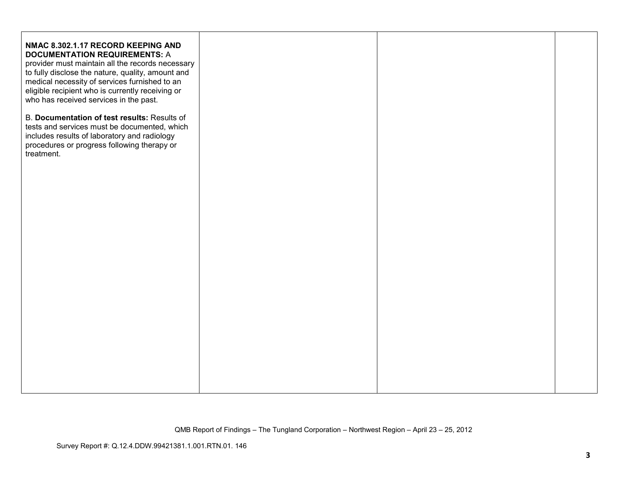| NMAC 8.302.1.17 RECORD KEEPING AND<br><b>DOCUMENTATION REQUIREMENTS: A</b><br>provider must maintain all the records necessary<br>to fully disclose the nature, quality, amount and<br>medical necessity of services furnished to an<br>eligible recipient who is currently receiving or<br>who has received services in the past.<br>B. Documentation of test results: Results of |  |  |
|------------------------------------------------------------------------------------------------------------------------------------------------------------------------------------------------------------------------------------------------------------------------------------------------------------------------------------------------------------------------------------|--|--|
| tests and services must be documented, which<br>includes results of laboratory and radiology<br>procedures or progress following therapy or<br>treatment.                                                                                                                                                                                                                          |  |  |
|                                                                                                                                                                                                                                                                                                                                                                                    |  |  |
|                                                                                                                                                                                                                                                                                                                                                                                    |  |  |
|                                                                                                                                                                                                                                                                                                                                                                                    |  |  |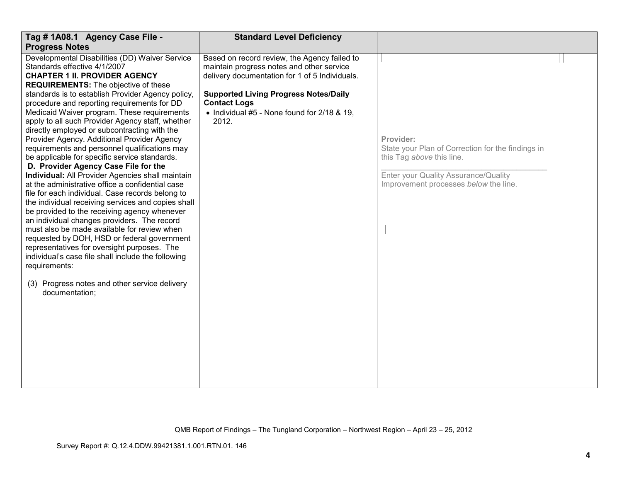| Tag # 1A08.1 Agency Case File -<br><b>Progress Notes</b>                                                                                                                                                                                                                                                                                                                                                                                                                                                                                                                                                                                                                                                                                                                                                                                                                                                                                                                                                                                                                                                                                                                                                                      | <b>Standard Level Deficiency</b>                                                                                                                                                                                                                                           |                                                                                                                                                                              |  |
|-------------------------------------------------------------------------------------------------------------------------------------------------------------------------------------------------------------------------------------------------------------------------------------------------------------------------------------------------------------------------------------------------------------------------------------------------------------------------------------------------------------------------------------------------------------------------------------------------------------------------------------------------------------------------------------------------------------------------------------------------------------------------------------------------------------------------------------------------------------------------------------------------------------------------------------------------------------------------------------------------------------------------------------------------------------------------------------------------------------------------------------------------------------------------------------------------------------------------------|----------------------------------------------------------------------------------------------------------------------------------------------------------------------------------------------------------------------------------------------------------------------------|------------------------------------------------------------------------------------------------------------------------------------------------------------------------------|--|
| Developmental Disabilities (DD) Waiver Service<br>Standards effective 4/1/2007<br><b>CHAPTER 1 II. PROVIDER AGENCY</b><br><b>REQUIREMENTS:</b> The objective of these<br>standards is to establish Provider Agency policy,<br>procedure and reporting requirements for DD<br>Medicaid Waiver program. These requirements<br>apply to all such Provider Agency staff, whether<br>directly employed or subcontracting with the<br>Provider Agency. Additional Provider Agency<br>requirements and personnel qualifications may<br>be applicable for specific service standards.<br>D. Provider Agency Case File for the<br>Individual: All Provider Agencies shall maintain<br>at the administrative office a confidential case<br>file for each individual. Case records belong to<br>the individual receiving services and copies shall<br>be provided to the receiving agency whenever<br>an individual changes providers. The record<br>must also be made available for review when<br>requested by DOH, HSD or federal government<br>representatives for oversight purposes. The<br>individual's case file shall include the following<br>requirements:<br>(3) Progress notes and other service delivery<br>documentation; | Based on record review, the Agency failed to<br>maintain progress notes and other service<br>delivery documentation for 1 of 5 Individuals.<br><b>Supported Living Progress Notes/Daily</b><br><b>Contact Logs</b><br>• Individual #5 - None found for 2/18 & 19,<br>2012. | Provider:<br>State your Plan of Correction for the findings in<br>this Tag above this line.<br>Enter your Quality Assurance/Quality<br>Improvement processes below the line. |  |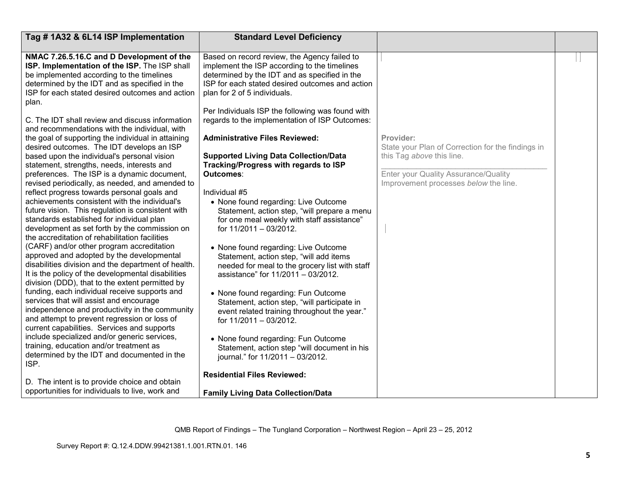| Tag #1A32 & 6L14 ISP Implementation                                                                | <b>Standard Level Deficiency</b>                                                             |                                                   |  |
|----------------------------------------------------------------------------------------------------|----------------------------------------------------------------------------------------------|---------------------------------------------------|--|
|                                                                                                    |                                                                                              |                                                   |  |
| NMAC 7.26.5.16.C and D Development of the<br>ISP. Implementation of the ISP. The ISP shall         | Based on record review, the Agency failed to<br>implement the ISP according to the timelines |                                                   |  |
| be implemented according to the timelines                                                          | determined by the IDT and as specified in the                                                |                                                   |  |
| determined by the IDT and as specified in the                                                      | ISP for each stated desired outcomes and action                                              |                                                   |  |
| ISP for each stated desired outcomes and action                                                    | plan for 2 of 5 individuals.                                                                 |                                                   |  |
| plan.                                                                                              |                                                                                              |                                                   |  |
|                                                                                                    | Per Individuals ISP the following was found with                                             |                                                   |  |
| C. The IDT shall review and discuss information                                                    | regards to the implementation of ISP Outcomes:                                               |                                                   |  |
| and recommendations with the individual, with                                                      |                                                                                              |                                                   |  |
| the goal of supporting the individual in attaining                                                 | <b>Administrative Files Reviewed:</b>                                                        | Provider:                                         |  |
| desired outcomes. The IDT develops an ISP                                                          |                                                                                              | State your Plan of Correction for the findings in |  |
| based upon the individual's personal vision                                                        | <b>Supported Living Data Collection/Data</b>                                                 | this Tag above this line.                         |  |
| statement, strengths, needs, interests and                                                         | Tracking/Progress with regards to ISP                                                        |                                                   |  |
| preferences. The ISP is a dynamic document,                                                        | Outcomes:                                                                                    | Enter your Quality Assurance/Quality              |  |
| revised periodically, as needed, and amended to                                                    |                                                                                              | Improvement processes below the line.             |  |
| reflect progress towards personal goals and                                                        | Individual #5                                                                                |                                                   |  |
| achievements consistent with the individual's<br>future vision. This regulation is consistent with | • None found regarding: Live Outcome                                                         |                                                   |  |
| standards established for individual plan                                                          | Statement, action step, "will prepare a menu<br>for one meal weekly with staff assistance"   |                                                   |  |
| development as set forth by the commission on                                                      | for 11/2011 - 03/2012.                                                                       |                                                   |  |
| the accreditation of rehabilitation facilities                                                     |                                                                                              |                                                   |  |
| (CARF) and/or other program accreditation                                                          | • None found regarding: Live Outcome                                                         |                                                   |  |
| approved and adopted by the developmental                                                          | Statement, action step, "will add items                                                      |                                                   |  |
| disabilities division and the department of health.                                                | needed for meal to the grocery list with staff                                               |                                                   |  |
| It is the policy of the developmental disabilities                                                 | assistance" for 11/2011 - 03/2012.                                                           |                                                   |  |
| division (DDD), that to the extent permitted by                                                    |                                                                                              |                                                   |  |
| funding, each individual receive supports and                                                      | • None found regarding: Fun Outcome                                                          |                                                   |  |
| services that will assist and encourage                                                            | Statement, action step, "will participate in                                                 |                                                   |  |
| independence and productivity in the community                                                     | event related training throughout the year."                                                 |                                                   |  |
| and attempt to prevent regression or loss of                                                       | for 11/2011 - 03/2012.                                                                       |                                                   |  |
| current capabilities. Services and supports                                                        |                                                                                              |                                                   |  |
| include specialized and/or generic services,                                                       | • None found regarding: Fun Outcome                                                          |                                                   |  |
| training, education and/or treatment as<br>determined by the IDT and documented in the             | Statement, action step "will document in his                                                 |                                                   |  |
| ISP.                                                                                               | journal." for 11/2011 - 03/2012.                                                             |                                                   |  |
|                                                                                                    | <b>Residential Files Reviewed:</b>                                                           |                                                   |  |
| D. The intent is to provide choice and obtain                                                      |                                                                                              |                                                   |  |
| opportunities for individuals to live, work and                                                    | <b>Family Living Data Collection/Data</b>                                                    |                                                   |  |
|                                                                                                    |                                                                                              |                                                   |  |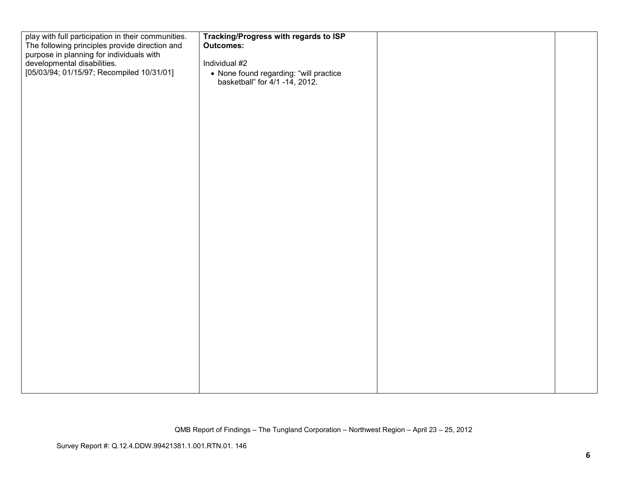| play with full participation in their communities. | Tracking/Progress with regards to ISP  |  |
|----------------------------------------------------|----------------------------------------|--|
| The following principles provide direction and     | <b>Outcomes:</b>                       |  |
| purpose in planning for individuals with           |                                        |  |
| developmental disabilities.                        | Individual #2                          |  |
| [05/03/94; 01/15/97; Recompiled 10/31/01]          | • None found regarding: "will practice |  |
|                                                    | basketball" for 4/1 -14, 2012.         |  |
|                                                    |                                        |  |
|                                                    |                                        |  |
|                                                    |                                        |  |
|                                                    |                                        |  |
|                                                    |                                        |  |
|                                                    |                                        |  |
|                                                    |                                        |  |
|                                                    |                                        |  |
|                                                    |                                        |  |
|                                                    |                                        |  |
|                                                    |                                        |  |
|                                                    |                                        |  |
|                                                    |                                        |  |
|                                                    |                                        |  |
|                                                    |                                        |  |
|                                                    |                                        |  |
|                                                    |                                        |  |
|                                                    |                                        |  |
|                                                    |                                        |  |
|                                                    |                                        |  |
|                                                    |                                        |  |
|                                                    |                                        |  |
|                                                    |                                        |  |
|                                                    |                                        |  |
|                                                    |                                        |  |
|                                                    |                                        |  |
|                                                    |                                        |  |
|                                                    |                                        |  |
|                                                    |                                        |  |
|                                                    |                                        |  |
|                                                    |                                        |  |
|                                                    |                                        |  |
|                                                    |                                        |  |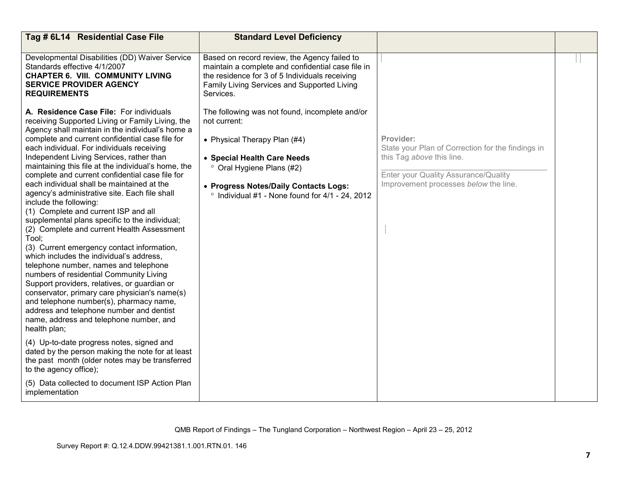| Tag # 6L14 Residential Case File                                                                                                                                                                                                                                                                                                                                                                                                                                                                                                                                                                                                                                                                                                                                                                                                                                                                                                                                                                                                                                                                                                                                                                                                                                                                                                                                   | <b>Standard Level Deficiency</b>                                                                                                                                                                                                                               |                                                                                                                                                                              |  |
|--------------------------------------------------------------------------------------------------------------------------------------------------------------------------------------------------------------------------------------------------------------------------------------------------------------------------------------------------------------------------------------------------------------------------------------------------------------------------------------------------------------------------------------------------------------------------------------------------------------------------------------------------------------------------------------------------------------------------------------------------------------------------------------------------------------------------------------------------------------------------------------------------------------------------------------------------------------------------------------------------------------------------------------------------------------------------------------------------------------------------------------------------------------------------------------------------------------------------------------------------------------------------------------------------------------------------------------------------------------------|----------------------------------------------------------------------------------------------------------------------------------------------------------------------------------------------------------------------------------------------------------------|------------------------------------------------------------------------------------------------------------------------------------------------------------------------------|--|
| Developmental Disabilities (DD) Waiver Service<br>Standards effective 4/1/2007<br><b>CHAPTER 6. VIII. COMMUNITY LIVING</b><br><b>SERVICE PROVIDER AGENCY</b><br><b>REQUIREMENTS</b>                                                                                                                                                                                                                                                                                                                                                                                                                                                                                                                                                                                                                                                                                                                                                                                                                                                                                                                                                                                                                                                                                                                                                                                | Based on record review, the Agency failed to<br>maintain a complete and confidential case file in<br>the residence for 3 of 5 Individuals receiving<br>Family Living Services and Supported Living<br>Services.                                                |                                                                                                                                                                              |  |
| A. Residence Case File: For individuals<br>receiving Supported Living or Family Living, the<br>Agency shall maintain in the individual's home a<br>complete and current confidential case file for<br>each individual. For individuals receiving<br>Independent Living Services, rather than<br>maintaining this file at the individual's home, the<br>complete and current confidential case file for<br>each individual shall be maintained at the<br>agency's administrative site. Each file shall<br>include the following:<br>(1) Complete and current ISP and all<br>supplemental plans specific to the individual;<br>(2) Complete and current Health Assessment<br>Tool:<br>(3) Current emergency contact information,<br>which includes the individual's address,<br>telephone number, names and telephone<br>numbers of residential Community Living<br>Support providers, relatives, or guardian or<br>conservator, primary care physician's name(s)<br>and telephone number(s), pharmacy name,<br>address and telephone number and dentist<br>name, address and telephone number, and<br>health plan;<br>(4) Up-to-date progress notes, signed and<br>dated by the person making the note for at least<br>the past month (older notes may be transferred<br>to the agency office);<br>(5) Data collected to document ISP Action Plan<br>implementation | The following was not found, incomplete and/or<br>not current:<br>• Physical Therapy Plan (#4)<br>• Special Health Care Needs<br>° Oral Hygiene Plans (#2)<br>• Progress Notes/Daily Contacts Logs:<br>$\degree$ Individual #1 - None found for 4/1 - 24, 2012 | Provider:<br>State your Plan of Correction for the findings in<br>this Tag above this line.<br>Enter your Quality Assurance/Quality<br>Improvement processes below the line. |  |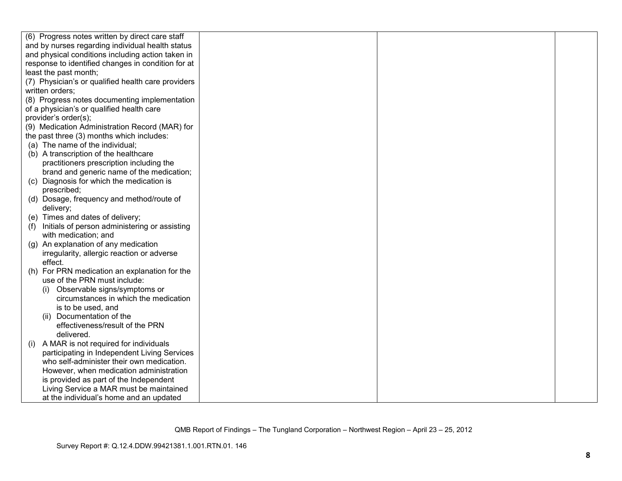|     | (6) Progress notes written by direct care staff    |  |  |
|-----|----------------------------------------------------|--|--|
|     | and by nurses regarding individual health status   |  |  |
|     | and physical conditions including action taken in  |  |  |
|     | response to identified changes in condition for at |  |  |
|     | least the past month;                              |  |  |
|     | (7) Physician's or qualified health care providers |  |  |
|     | written orders;                                    |  |  |
|     | (8) Progress notes documenting implementation      |  |  |
|     | of a physician's or qualified health care          |  |  |
|     | provider's order(s);                               |  |  |
|     | (9) Medication Administration Record (MAR) for     |  |  |
|     | the past three (3) months which includes:          |  |  |
|     | (a) The name of the individual;                    |  |  |
|     | (b) A transcription of the healthcare              |  |  |
|     | practitioners prescription including the           |  |  |
|     | brand and generic name of the medication;          |  |  |
|     | (c) Diagnosis for which the medication is          |  |  |
|     | prescribed;                                        |  |  |
|     | (d) Dosage, frequency and method/route of          |  |  |
|     | delivery;                                          |  |  |
|     | (e) Times and dates of delivery;                   |  |  |
| (1) | Initials of person administering or assisting      |  |  |
|     | with medication; and                               |  |  |
|     | (g) An explanation of any medication               |  |  |
|     | irregularity, allergic reaction or adverse         |  |  |
|     | effect.                                            |  |  |
|     | (h) For PRN medication an explanation for the      |  |  |
|     | use of the PRN must include:                       |  |  |
|     | Observable signs/symptoms or                       |  |  |
|     | circumstances in which the medication              |  |  |
|     | is to be used, and                                 |  |  |
|     | (ii) Documentation of the                          |  |  |
|     | effectiveness/result of the PRN                    |  |  |
|     | delivered.                                         |  |  |
| (i) | A MAR is not required for individuals              |  |  |
|     | participating in Independent Living Services       |  |  |
|     | who self-administer their own medication.          |  |  |
|     | However, when medication administration            |  |  |
|     | is provided as part of the Independent             |  |  |
|     | Living Service a MAR must be maintained            |  |  |
|     | at the individual's home and an updated            |  |  |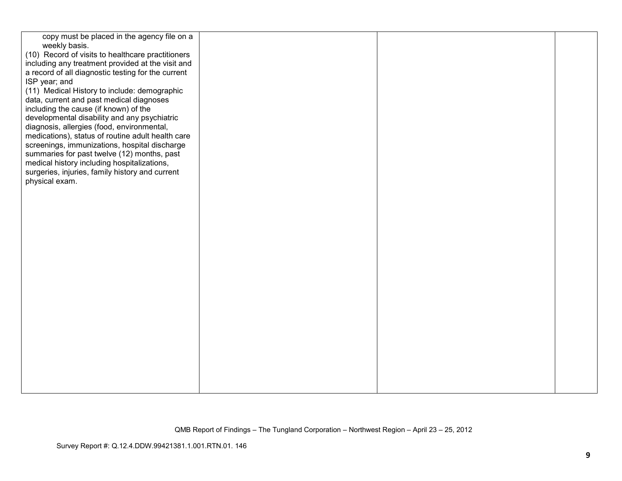| copy must be placed in the agency file on a        |  |  |
|----------------------------------------------------|--|--|
| weekly basis.                                      |  |  |
| (10) Record of visits to healthcare practitioners  |  |  |
| including any treatment provided at the visit and  |  |  |
| a record of all diagnostic testing for the current |  |  |
| ISP year; and                                      |  |  |
| (11) Medical History to include: demographic       |  |  |
| data, current and past medical diagnoses           |  |  |
| including the cause (if known) of the              |  |  |
| developmental disability and any psychiatric       |  |  |
| diagnosis, allergies (food, environmental,         |  |  |
| medications), status of routine adult health care  |  |  |
| screenings, immunizations, hospital discharge      |  |  |
| summaries for past twelve (12) months, past        |  |  |
| medical history including hospitalizations,        |  |  |
| surgeries, injuries, family history and current    |  |  |
| physical exam.                                     |  |  |
|                                                    |  |  |
|                                                    |  |  |
|                                                    |  |  |
|                                                    |  |  |
|                                                    |  |  |
|                                                    |  |  |
|                                                    |  |  |
|                                                    |  |  |
|                                                    |  |  |
|                                                    |  |  |
|                                                    |  |  |
|                                                    |  |  |
|                                                    |  |  |
|                                                    |  |  |
|                                                    |  |  |
|                                                    |  |  |
|                                                    |  |  |
|                                                    |  |  |
|                                                    |  |  |
|                                                    |  |  |
|                                                    |  |  |
|                                                    |  |  |
|                                                    |  |  |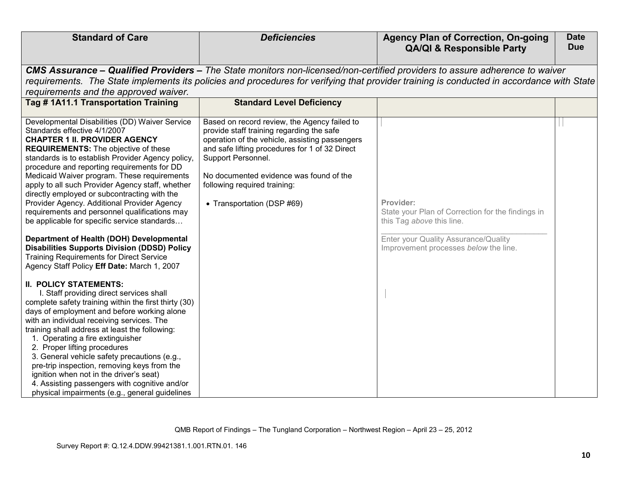| <b>Standard of Care</b>                                                                                                                                                                                                                                                                                                                                                                                                                                                                                                                                                                            | <b>Deficiencies</b>                                                                                                                                                                                                                                                                                                          | <b>Agency Plan of Correction, On-going</b><br><b>QA/QI &amp; Responsible Party</b>                                                                                                                                                                                       | <b>Date</b><br><b>Due</b> |
|----------------------------------------------------------------------------------------------------------------------------------------------------------------------------------------------------------------------------------------------------------------------------------------------------------------------------------------------------------------------------------------------------------------------------------------------------------------------------------------------------------------------------------------------------------------------------------------------------|------------------------------------------------------------------------------------------------------------------------------------------------------------------------------------------------------------------------------------------------------------------------------------------------------------------------------|--------------------------------------------------------------------------------------------------------------------------------------------------------------------------------------------------------------------------------------------------------------------------|---------------------------|
|                                                                                                                                                                                                                                                                                                                                                                                                                                                                                                                                                                                                    |                                                                                                                                                                                                                                                                                                                              |                                                                                                                                                                                                                                                                          |                           |
|                                                                                                                                                                                                                                                                                                                                                                                                                                                                                                                                                                                                    |                                                                                                                                                                                                                                                                                                                              | CMS Assurance – Qualified Providers – The State monitors non-licensed/non-certified providers to assure adherence to waiver<br>requirements. The State implements its policies and procedures for verifying that provider training is conducted in accordance with State |                           |
| requirements and the approved waiver.                                                                                                                                                                                                                                                                                                                                                                                                                                                                                                                                                              |                                                                                                                                                                                                                                                                                                                              |                                                                                                                                                                                                                                                                          |                           |
| Tag # 1A11.1 Transportation Training                                                                                                                                                                                                                                                                                                                                                                                                                                                                                                                                                               | <b>Standard Level Deficiency</b>                                                                                                                                                                                                                                                                                             |                                                                                                                                                                                                                                                                          |                           |
|                                                                                                                                                                                                                                                                                                                                                                                                                                                                                                                                                                                                    |                                                                                                                                                                                                                                                                                                                              |                                                                                                                                                                                                                                                                          |                           |
| Developmental Disabilities (DD) Waiver Service<br>Standards effective 4/1/2007<br><b>CHAPTER 1 II. PROVIDER AGENCY</b><br><b>REQUIREMENTS:</b> The objective of these<br>standards is to establish Provider Agency policy,<br>procedure and reporting requirements for DD<br>Medicaid Waiver program. These requirements<br>apply to all such Provider Agency staff, whether<br>directly employed or subcontracting with the<br>Provider Agency. Additional Provider Agency<br>requirements and personnel qualifications may<br>be applicable for specific service standards                       | Based on record review, the Agency failed to<br>provide staff training regarding the safe<br>operation of the vehicle, assisting passengers<br>and safe lifting procedures for 1 of 32 Direct<br>Support Personnel.<br>No documented evidence was found of the<br>following required training:<br>• Transportation (DSP #69) | Provider:<br>State your Plan of Correction for the findings in<br>this Tag above this line.                                                                                                                                                                              |                           |
| Department of Health (DOH) Developmental<br><b>Disabilities Supports Division (DDSD) Policy</b><br><b>Training Requirements for Direct Service</b><br>Agency Staff Policy Eff Date: March 1, 2007                                                                                                                                                                                                                                                                                                                                                                                                  |                                                                                                                                                                                                                                                                                                                              | Enter your Quality Assurance/Quality<br>Improvement processes below the line.                                                                                                                                                                                            |                           |
| <b>II. POLICY STATEMENTS:</b><br>I. Staff providing direct services shall<br>complete safety training within the first thirty (30)<br>days of employment and before working alone<br>with an individual receiving services. The<br>training shall address at least the following:<br>1. Operating a fire extinguisher<br>2. Proper lifting procedures<br>3. General vehicle safety precautions (e.g.,<br>pre-trip inspection, removing keys from the<br>ignition when not in the driver's seat)<br>4. Assisting passengers with cognitive and/or<br>physical impairments (e.g., general guidelines |                                                                                                                                                                                                                                                                                                                              |                                                                                                                                                                                                                                                                          |                           |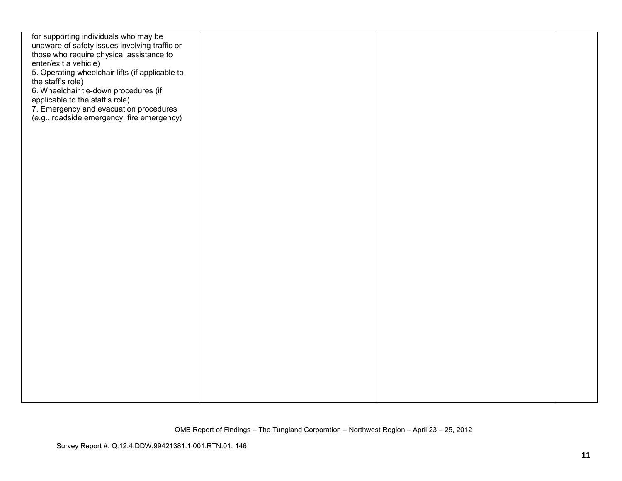| for supporting individuals who may be                                                |  |  |
|--------------------------------------------------------------------------------------|--|--|
| unaware of safety issues involving traffic or                                        |  |  |
| those who require physical assistance to                                             |  |  |
| enter/exit a vehicle)                                                                |  |  |
| 5. Operating wheelchair lifts (if applicable to                                      |  |  |
| the staff's role)                                                                    |  |  |
| 6. Wheelchair tie-down procedures (if                                                |  |  |
| applicable to the staff's role)                                                      |  |  |
|                                                                                      |  |  |
| 7. Emergency and evacuation procedures<br>(e.g., roadside emergency, fire emergency) |  |  |
|                                                                                      |  |  |
|                                                                                      |  |  |
|                                                                                      |  |  |
|                                                                                      |  |  |
|                                                                                      |  |  |
|                                                                                      |  |  |
|                                                                                      |  |  |
|                                                                                      |  |  |
|                                                                                      |  |  |
|                                                                                      |  |  |
|                                                                                      |  |  |
|                                                                                      |  |  |
|                                                                                      |  |  |
|                                                                                      |  |  |
|                                                                                      |  |  |
|                                                                                      |  |  |
|                                                                                      |  |  |
|                                                                                      |  |  |
|                                                                                      |  |  |
|                                                                                      |  |  |
|                                                                                      |  |  |
|                                                                                      |  |  |
|                                                                                      |  |  |
|                                                                                      |  |  |
|                                                                                      |  |  |
|                                                                                      |  |  |
|                                                                                      |  |  |
|                                                                                      |  |  |
|                                                                                      |  |  |
|                                                                                      |  |  |
|                                                                                      |  |  |
|                                                                                      |  |  |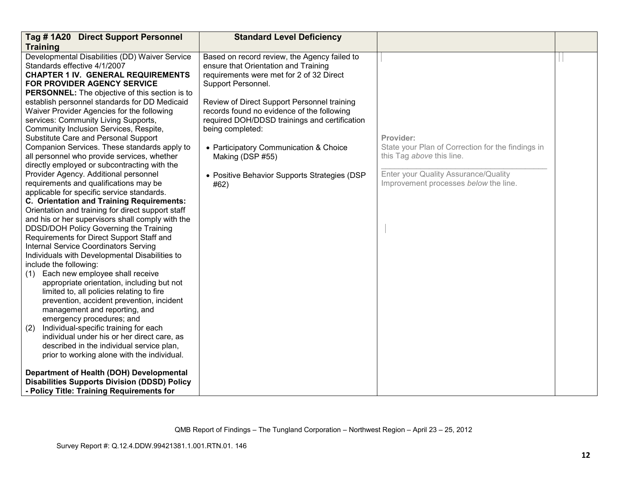| Tag #1A20 Direct Support Personnel                    | <b>Standard Level Deficiency</b>              |                                                   |  |
|-------------------------------------------------------|-----------------------------------------------|---------------------------------------------------|--|
| <b>Training</b>                                       |                                               |                                                   |  |
| Developmental Disabilities (DD) Waiver Service        | Based on record review, the Agency failed to  |                                                   |  |
| Standards effective 4/1/2007                          | ensure that Orientation and Training          |                                                   |  |
| <b>CHAPTER 1 IV. GENERAL REQUIREMENTS</b>             | requirements were met for 2 of 32 Direct      |                                                   |  |
| FOR PROVIDER AGENCY SERVICE                           | Support Personnel.                            |                                                   |  |
| <b>PERSONNEL:</b> The objective of this section is to |                                               |                                                   |  |
| establish personnel standards for DD Medicaid         | Review of Direct Support Personnel training   |                                                   |  |
| Waiver Provider Agencies for the following            | records found no evidence of the following    |                                                   |  |
| services: Community Living Supports,                  | required DOH/DDSD trainings and certification |                                                   |  |
| Community Inclusion Services, Respite,                | being completed:                              |                                                   |  |
| Substitute Care and Personal Support                  |                                               | Provider:                                         |  |
| Companion Services. These standards apply to          | • Participatory Communication & Choice        | State your Plan of Correction for the findings in |  |
| all personnel who provide services, whether           | Making (DSP #55)                              | this Tag above this line.                         |  |
| directly employed or subcontracting with the          |                                               |                                                   |  |
| Provider Agency. Additional personnel                 | • Positive Behavior Supports Strategies (DSP  | Enter your Quality Assurance/Quality              |  |
| requirements and qualifications may be                | #62)                                          | Improvement processes below the line.             |  |
| applicable for specific service standards.            |                                               |                                                   |  |
| C. Orientation and Training Requirements:             |                                               |                                                   |  |
| Orientation and training for direct support staff     |                                               |                                                   |  |
| and his or her supervisors shall comply with the      |                                               |                                                   |  |
| DDSD/DOH Policy Governing the Training                |                                               |                                                   |  |
| Requirements for Direct Support Staff and             |                                               |                                                   |  |
| Internal Service Coordinators Serving                 |                                               |                                                   |  |
| Individuals with Developmental Disabilities to        |                                               |                                                   |  |
| include the following:                                |                                               |                                                   |  |
| Each new employee shall receive<br>(1)                |                                               |                                                   |  |
| appropriate orientation, including but not            |                                               |                                                   |  |
| limited to, all policies relating to fire             |                                               |                                                   |  |
| prevention, accident prevention, incident             |                                               |                                                   |  |
| management and reporting, and                         |                                               |                                                   |  |
| emergency procedures; and                             |                                               |                                                   |  |
| (2)<br>Individual-specific training for each          |                                               |                                                   |  |
| individual under his or her direct care, as           |                                               |                                                   |  |
| described in the individual service plan,             |                                               |                                                   |  |
| prior to working alone with the individual.           |                                               |                                                   |  |
| Department of Health (DOH) Developmental              |                                               |                                                   |  |
| <b>Disabilities Supports Division (DDSD) Policy</b>   |                                               |                                                   |  |
| - Policy Title: Training Requirements for             |                                               |                                                   |  |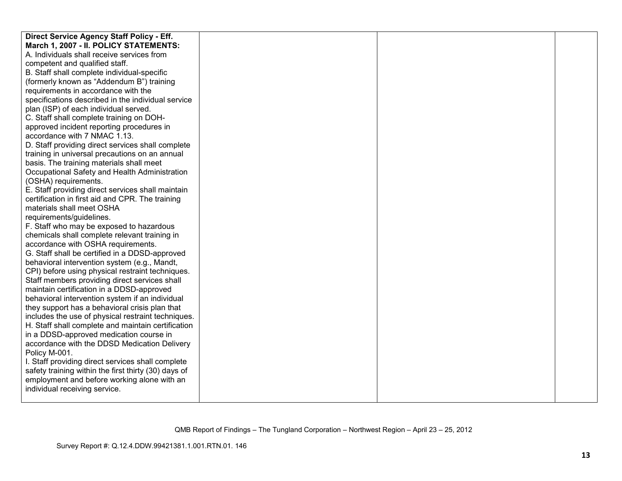| Direct Service Agency Staff Policy - Eff.            |  |  |
|------------------------------------------------------|--|--|
| March 1, 2007 - II. POLICY STATEMENTS:               |  |  |
| A. Individuals shall receive services from           |  |  |
| competent and qualified staff.                       |  |  |
| B. Staff shall complete individual-specific          |  |  |
| (formerly known as "Addendum B") training            |  |  |
| requirements in accordance with the                  |  |  |
| specifications described in the individual service   |  |  |
| plan (ISP) of each individual served.                |  |  |
| C. Staff shall complete training on DOH-             |  |  |
| approved incident reporting procedures in            |  |  |
| accordance with 7 NMAC 1.13.                         |  |  |
| D. Staff providing direct services shall complete    |  |  |
| training in universal precautions on an annual       |  |  |
| basis. The training materials shall meet             |  |  |
| Occupational Safety and Health Administration        |  |  |
| (OSHA) requirements.                                 |  |  |
| E. Staff providing direct services shall maintain    |  |  |
| certification in first aid and CPR. The training     |  |  |
| materials shall meet OSHA                            |  |  |
| requirements/guidelines.                             |  |  |
| F. Staff who may be exposed to hazardous             |  |  |
| chemicals shall complete relevant training in        |  |  |
| accordance with OSHA requirements.                   |  |  |
| G. Staff shall be certified in a DDSD-approved       |  |  |
| behavioral intervention system (e.g., Mandt,         |  |  |
| CPI) before using physical restraint techniques.     |  |  |
| Staff members providing direct services shall        |  |  |
| maintain certification in a DDSD-approved            |  |  |
| behavioral intervention system if an individual      |  |  |
| they support has a behavioral crisis plan that       |  |  |
| includes the use of physical restraint techniques.   |  |  |
| H. Staff shall complete and maintain certification   |  |  |
| in a DDSD-approved medication course in              |  |  |
| accordance with the DDSD Medication Delivery         |  |  |
| Policy M-001.                                        |  |  |
| I. Staff providing direct services shall complete    |  |  |
| safety training within the first thirty (30) days of |  |  |
| employment and before working alone with an          |  |  |
| individual receiving service.                        |  |  |
|                                                      |  |  |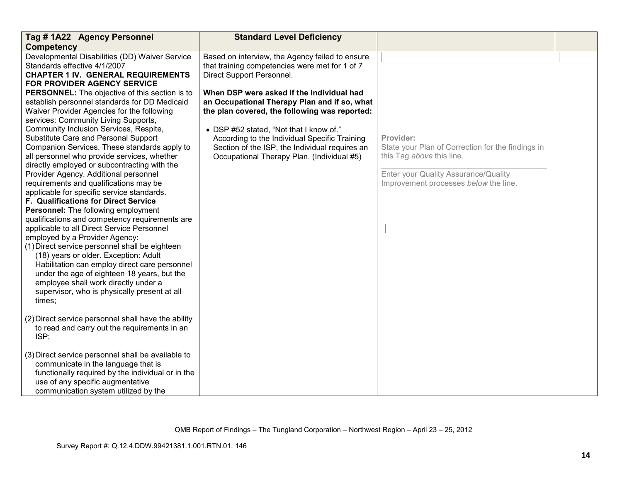| Tag #1A22 Agency Personnel                                                                                                                                                                                                                                                                                                                                                                                                                                                                                                                                                                                                                                                                                                                                                                                                                                                                                  | <b>Standard Level Deficiency</b>                                                                                                                                                                                                                                                                                                                                                                                                                                         |                                                                                                                                                                              |  |
|-------------------------------------------------------------------------------------------------------------------------------------------------------------------------------------------------------------------------------------------------------------------------------------------------------------------------------------------------------------------------------------------------------------------------------------------------------------------------------------------------------------------------------------------------------------------------------------------------------------------------------------------------------------------------------------------------------------------------------------------------------------------------------------------------------------------------------------------------------------------------------------------------------------|--------------------------------------------------------------------------------------------------------------------------------------------------------------------------------------------------------------------------------------------------------------------------------------------------------------------------------------------------------------------------------------------------------------------------------------------------------------------------|------------------------------------------------------------------------------------------------------------------------------------------------------------------------------|--|
| <b>Competency</b>                                                                                                                                                                                                                                                                                                                                                                                                                                                                                                                                                                                                                                                                                                                                                                                                                                                                                           |                                                                                                                                                                                                                                                                                                                                                                                                                                                                          |                                                                                                                                                                              |  |
| Developmental Disabilities (DD) Waiver Service<br>Standards effective 4/1/2007<br><b>CHAPTER 1 IV. GENERAL REQUIREMENTS</b><br>FOR PROVIDER AGENCY SERVICE<br><b>PERSONNEL:</b> The objective of this section is to<br>establish personnel standards for DD Medicaid<br>Waiver Provider Agencies for the following<br>services: Community Living Supports,<br>Community Inclusion Services, Respite,<br>Substitute Care and Personal Support<br>Companion Services. These standards apply to<br>all personnel who provide services, whether<br>directly employed or subcontracting with the<br>Provider Agency. Additional personnel<br>requirements and qualifications may be<br>applicable for specific service standards.<br>F. Qualifications for Direct Service<br>Personnel: The following employment<br>qualifications and competency requirements are<br>applicable to all Direct Service Personnel | Based on interview, the Agency failed to ensure<br>that training competencies were met for 1 of 7<br>Direct Support Personnel.<br>When DSP were asked if the Individual had<br>an Occupational Therapy Plan and if so, what<br>the plan covered, the following was reported:<br>• DSP #52 stated, "Not that I know of."<br>According to the Individual Specific Training<br>Section of the ISP, the Individual requires an<br>Occupational Therapy Plan. (Individual #5) | Provider:<br>State your Plan of Correction for the findings in<br>this Tag above this line.<br>Enter your Quality Assurance/Quality<br>Improvement processes below the line. |  |
| employed by a Provider Agency:<br>(1) Direct service personnel shall be eighteen<br>(18) years or older. Exception: Adult<br>Habilitation can employ direct care personnel<br>under the age of eighteen 18 years, but the<br>employee shall work directly under a<br>supervisor, who is physically present at all<br>times;                                                                                                                                                                                                                                                                                                                                                                                                                                                                                                                                                                                 |                                                                                                                                                                                                                                                                                                                                                                                                                                                                          |                                                                                                                                                                              |  |
| (2) Direct service personnel shall have the ability<br>to read and carry out the requirements in an<br>ISP;                                                                                                                                                                                                                                                                                                                                                                                                                                                                                                                                                                                                                                                                                                                                                                                                 |                                                                                                                                                                                                                                                                                                                                                                                                                                                                          |                                                                                                                                                                              |  |
| (3) Direct service personnel shall be available to<br>communicate in the language that is<br>functionally required by the individual or in the<br>use of any specific augmentative<br>communication system utilized by the                                                                                                                                                                                                                                                                                                                                                                                                                                                                                                                                                                                                                                                                                  |                                                                                                                                                                                                                                                                                                                                                                                                                                                                          |                                                                                                                                                                              |  |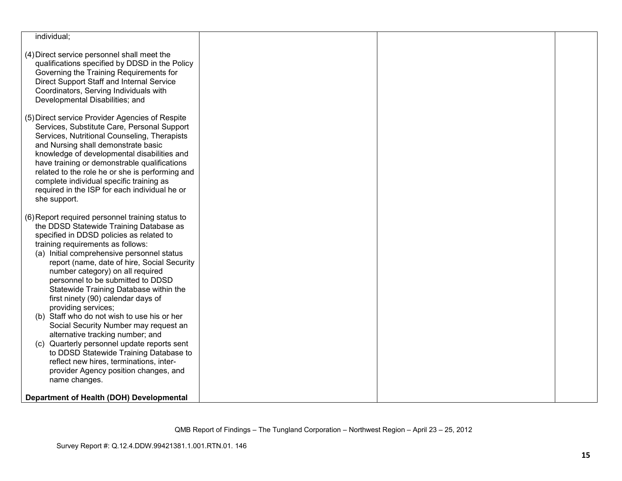| individual;                                                                     |  |  |
|---------------------------------------------------------------------------------|--|--|
|                                                                                 |  |  |
| (4) Direct service personnel shall meet the                                     |  |  |
| qualifications specified by DDSD in the Policy                                  |  |  |
| Governing the Training Requirements for                                         |  |  |
| Direct Support Staff and Internal Service                                       |  |  |
| Coordinators, Serving Individuals with                                          |  |  |
| Developmental Disabilities; and                                                 |  |  |
| (5) Direct service Provider Agencies of Respite                                 |  |  |
| Services, Substitute Care, Personal Support                                     |  |  |
| Services, Nutritional Counseling, Therapists                                    |  |  |
| and Nursing shall demonstrate basic                                             |  |  |
| knowledge of developmental disabilities and                                     |  |  |
| have training or demonstrable qualifications                                    |  |  |
| related to the role he or she is performing and                                 |  |  |
| complete individual specific training as                                        |  |  |
| required in the ISP for each individual he or                                   |  |  |
| she support.                                                                    |  |  |
|                                                                                 |  |  |
| (6) Report required personnel training status to                                |  |  |
| the DDSD Statewide Training Database as                                         |  |  |
| specified in DDSD policies as related to                                        |  |  |
| training requirements as follows:<br>(a) Initial comprehensive personnel status |  |  |
| report (name, date of hire, Social Security                                     |  |  |
| number category) on all required                                                |  |  |
| personnel to be submitted to DDSD                                               |  |  |
| Statewide Training Database within the                                          |  |  |
| first ninety (90) calendar days of                                              |  |  |
| providing services;                                                             |  |  |
| (b) Staff who do not wish to use his or her                                     |  |  |
| Social Security Number may request an                                           |  |  |
| alternative tracking number; and                                                |  |  |
| (c) Quarterly personnel update reports sent                                     |  |  |
| to DDSD Statewide Training Database to                                          |  |  |
| reflect new hires, terminations, inter-                                         |  |  |
| provider Agency position changes, and                                           |  |  |
| name changes.                                                                   |  |  |
| Department of Health (DOH) Developmental                                        |  |  |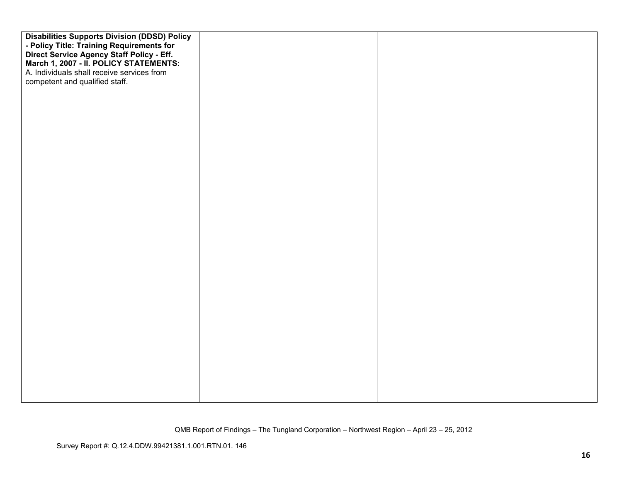| <b>Disabilities Supports Division (DDSD) Policy</b>                                 |  |  |
|-------------------------------------------------------------------------------------|--|--|
| - Policy Title: Training Requirements for                                           |  |  |
| Direct Service Agency Staff Policy - Eff.<br>March 1, 2007 - II. POLICY STATEMENTS: |  |  |
|                                                                                     |  |  |
| A. Individuals shall receive services from                                          |  |  |
| competent and qualified staff.                                                      |  |  |
|                                                                                     |  |  |
|                                                                                     |  |  |
|                                                                                     |  |  |
|                                                                                     |  |  |
|                                                                                     |  |  |
|                                                                                     |  |  |
|                                                                                     |  |  |
|                                                                                     |  |  |
|                                                                                     |  |  |
|                                                                                     |  |  |
|                                                                                     |  |  |
|                                                                                     |  |  |
|                                                                                     |  |  |
|                                                                                     |  |  |
|                                                                                     |  |  |
|                                                                                     |  |  |
|                                                                                     |  |  |
|                                                                                     |  |  |
|                                                                                     |  |  |
|                                                                                     |  |  |
|                                                                                     |  |  |
|                                                                                     |  |  |
|                                                                                     |  |  |
|                                                                                     |  |  |
|                                                                                     |  |  |
|                                                                                     |  |  |
|                                                                                     |  |  |
|                                                                                     |  |  |
|                                                                                     |  |  |
|                                                                                     |  |  |
|                                                                                     |  |  |
|                                                                                     |  |  |
|                                                                                     |  |  |
|                                                                                     |  |  |
|                                                                                     |  |  |
|                                                                                     |  |  |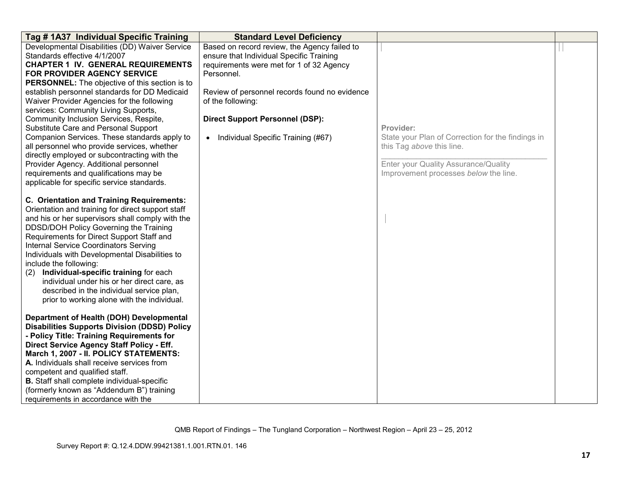| Tag #1A37 Individual Specific Training                                                                                                                                                                                                                                                                                                                                                                                                                                                                                                                                  | <b>Standard Level Deficiency</b>                                                                                                                                                                                                                                   |                                                                                                                                                                              |  |
|-------------------------------------------------------------------------------------------------------------------------------------------------------------------------------------------------------------------------------------------------------------------------------------------------------------------------------------------------------------------------------------------------------------------------------------------------------------------------------------------------------------------------------------------------------------------------|--------------------------------------------------------------------------------------------------------------------------------------------------------------------------------------------------------------------------------------------------------------------|------------------------------------------------------------------------------------------------------------------------------------------------------------------------------|--|
| Developmental Disabilities (DD) Waiver Service<br>Standards effective 4/1/2007<br><b>CHAPTER 1 IV. GENERAL REQUIREMENTS</b><br><b>FOR PROVIDER AGENCY SERVICE</b><br><b>PERSONNEL:</b> The objective of this section is to<br>establish personnel standards for DD Medicaid<br>Waiver Provider Agencies for the following<br>services: Community Living Supports,<br>Community Inclusion Services, Respite,                                                                                                                                                             | Based on record review, the Agency failed to<br>ensure that Individual Specific Training<br>requirements were met for 1 of 32 Agency<br>Personnel.<br>Review of personnel records found no evidence<br>of the following:<br><b>Direct Support Personnel (DSP):</b> |                                                                                                                                                                              |  |
| Substitute Care and Personal Support<br>Companion Services. These standards apply to<br>all personnel who provide services, whether<br>directly employed or subcontracting with the<br>Provider Agency. Additional personnel<br>requirements and qualifications may be<br>applicable for specific service standards.                                                                                                                                                                                                                                                    | • Individual Specific Training (#67)                                                                                                                                                                                                                               | Provider:<br>State your Plan of Correction for the findings in<br>this Tag above this line.<br>Enter your Quality Assurance/Quality<br>Improvement processes below the line. |  |
| <b>C. Orientation and Training Requirements:</b><br>Orientation and training for direct support staff<br>and his or her supervisors shall comply with the<br>DDSD/DOH Policy Governing the Training<br>Requirements for Direct Support Staff and<br><b>Internal Service Coordinators Serving</b><br>Individuals with Developmental Disabilities to<br>include the following:<br>Individual-specific training for each<br>(2)<br>individual under his or her direct care, as<br>described in the individual service plan,<br>prior to working alone with the individual. |                                                                                                                                                                                                                                                                    |                                                                                                                                                                              |  |
| Department of Health (DOH) Developmental<br><b>Disabilities Supports Division (DDSD) Policy</b><br>- Policy Title: Training Requirements for<br>Direct Service Agency Staff Policy - Eff.<br>March 1, 2007 - II. POLICY STATEMENTS:<br>A. Individuals shall receive services from<br>competent and qualified staff.<br><b>B.</b> Staff shall complete individual-specific<br>(formerly known as "Addendum B") training<br>requirements in accordance with the                                                                                                           |                                                                                                                                                                                                                                                                    |                                                                                                                                                                              |  |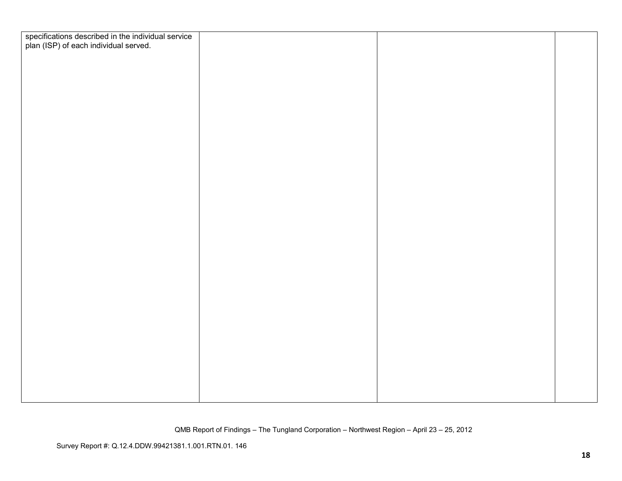| specifications described in the individual service<br>plan (ISP) of each individual served. |  |  |
|---------------------------------------------------------------------------------------------|--|--|
|                                                                                             |  |  |
|                                                                                             |  |  |
|                                                                                             |  |  |
|                                                                                             |  |  |
|                                                                                             |  |  |
|                                                                                             |  |  |
|                                                                                             |  |  |
|                                                                                             |  |  |
|                                                                                             |  |  |
|                                                                                             |  |  |
|                                                                                             |  |  |
|                                                                                             |  |  |
|                                                                                             |  |  |
|                                                                                             |  |  |
|                                                                                             |  |  |
|                                                                                             |  |  |
|                                                                                             |  |  |
|                                                                                             |  |  |
|                                                                                             |  |  |
|                                                                                             |  |  |
|                                                                                             |  |  |
|                                                                                             |  |  |
|                                                                                             |  |  |
|                                                                                             |  |  |
|                                                                                             |  |  |
|                                                                                             |  |  |
|                                                                                             |  |  |
|                                                                                             |  |  |
|                                                                                             |  |  |
|                                                                                             |  |  |
|                                                                                             |  |  |
|                                                                                             |  |  |
|                                                                                             |  |  |
|                                                                                             |  |  |
|                                                                                             |  |  |
|                                                                                             |  |  |
|                                                                                             |  |  |
|                                                                                             |  |  |
|                                                                                             |  |  |
|                                                                                             |  |  |
|                                                                                             |  |  |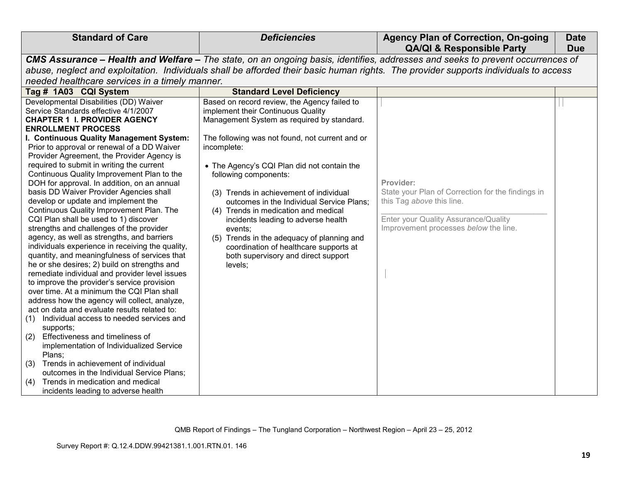|                                                                                                                                                                                                                                                                                                                                                                                                                                                                                                                                                                                                                                                                                                                                                                                                                                                                                                                                                                                                                                                                                                                                                                                                                                                                                                                                                                                                                                                          |                                                                                                                                                                                                                                                                                                                                                                                                                                                                                                                                                                                                        | <b>QA/QI &amp; Responsible Party</b><br>CMS Assurance - Health and Welfare - The state, on an ongoing basis, identifies, addresses and seeks to prevent occurrences of       | <b>Due</b>                                                                                                                           |  |  |  |
|----------------------------------------------------------------------------------------------------------------------------------------------------------------------------------------------------------------------------------------------------------------------------------------------------------------------------------------------------------------------------------------------------------------------------------------------------------------------------------------------------------------------------------------------------------------------------------------------------------------------------------------------------------------------------------------------------------------------------------------------------------------------------------------------------------------------------------------------------------------------------------------------------------------------------------------------------------------------------------------------------------------------------------------------------------------------------------------------------------------------------------------------------------------------------------------------------------------------------------------------------------------------------------------------------------------------------------------------------------------------------------------------------------------------------------------------------------|--------------------------------------------------------------------------------------------------------------------------------------------------------------------------------------------------------------------------------------------------------------------------------------------------------------------------------------------------------------------------------------------------------------------------------------------------------------------------------------------------------------------------------------------------------------------------------------------------------|------------------------------------------------------------------------------------------------------------------------------------------------------------------------------|--------------------------------------------------------------------------------------------------------------------------------------|--|--|--|
|                                                                                                                                                                                                                                                                                                                                                                                                                                                                                                                                                                                                                                                                                                                                                                                                                                                                                                                                                                                                                                                                                                                                                                                                                                                                                                                                                                                                                                                          |                                                                                                                                                                                                                                                                                                                                                                                                                                                                                                                                                                                                        |                                                                                                                                                                              |                                                                                                                                      |  |  |  |
|                                                                                                                                                                                                                                                                                                                                                                                                                                                                                                                                                                                                                                                                                                                                                                                                                                                                                                                                                                                                                                                                                                                                                                                                                                                                                                                                                                                                                                                          |                                                                                                                                                                                                                                                                                                                                                                                                                                                                                                                                                                                                        |                                                                                                                                                                              | abuse, neglect and exploitation. Individuals shall be afforded their basic human rights. The provider supports individuals to access |  |  |  |
| needed healthcare services in a timely manner.                                                                                                                                                                                                                                                                                                                                                                                                                                                                                                                                                                                                                                                                                                                                                                                                                                                                                                                                                                                                                                                                                                                                                                                                                                                                                                                                                                                                           |                                                                                                                                                                                                                                                                                                                                                                                                                                                                                                                                                                                                        |                                                                                                                                                                              |                                                                                                                                      |  |  |  |
| Tag # 1A03 CQI System                                                                                                                                                                                                                                                                                                                                                                                                                                                                                                                                                                                                                                                                                                                                                                                                                                                                                                                                                                                                                                                                                                                                                                                                                                                                                                                                                                                                                                    | <b>Standard Level Deficiency</b>                                                                                                                                                                                                                                                                                                                                                                                                                                                                                                                                                                       |                                                                                                                                                                              |                                                                                                                                      |  |  |  |
| Developmental Disabilities (DD) Waiver<br>Service Standards effective 4/1/2007<br><b>CHAPTER 1 I. PROVIDER AGENCY</b><br><b>ENROLLMENT PROCESS</b><br>I. Continuous Quality Management System:<br>Prior to approval or renewal of a DD Waiver<br>Provider Agreement, the Provider Agency is<br>required to submit in writing the current<br>Continuous Quality Improvement Plan to the<br>DOH for approval. In addition, on an annual<br>basis DD Waiver Provider Agencies shall<br>develop or update and implement the<br>Continuous Quality Improvement Plan. The<br>CQI Plan shall be used to 1) discover<br>strengths and challenges of the provider<br>agency, as well as strengths, and barriers<br>individuals experience in receiving the quality,<br>quantity, and meaningfulness of services that<br>he or she desires; 2) build on strengths and<br>remediate individual and provider level issues<br>to improve the provider's service provision<br>over time. At a minimum the CQI Plan shall<br>address how the agency will collect, analyze,<br>act on data and evaluate results related to:<br>Individual access to needed services and<br>(1)<br>supports;<br>Effectiveness and timeliness of<br>(2)<br>implementation of Individualized Service<br>Plans;<br>Trends in achievement of individual<br>(3)<br>outcomes in the Individual Service Plans;<br>Trends in medication and medical<br>(4)<br>incidents leading to adverse health | Based on record review, the Agency failed to<br>implement their Continuous Quality<br>Management System as required by standard.<br>The following was not found, not current and or<br>incomplete:<br>• The Agency's CQI Plan did not contain the<br>following components:<br>(3) Trends in achievement of individual<br>outcomes in the Individual Service Plans;<br>(4) Trends in medication and medical<br>incidents leading to adverse health<br>events:<br>(5) Trends in the adequacy of planning and<br>coordination of healthcare supports at<br>both supervisory and direct support<br>levels; | Provider:<br>State your Plan of Correction for the findings in<br>this Tag above this line.<br>Enter your Quality Assurance/Quality<br>Improvement processes below the line. |                                                                                                                                      |  |  |  |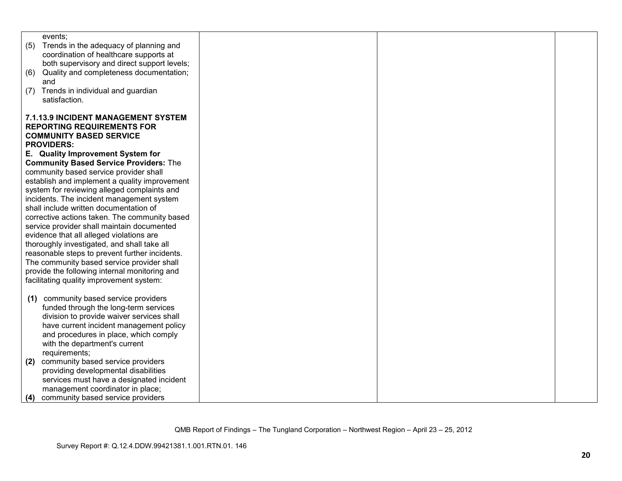| events:                                        |  |  |
|------------------------------------------------|--|--|
| Trends in the adequacy of planning and<br>(5)  |  |  |
| coordination of healthcare supports at         |  |  |
| both supervisory and direct support levels;    |  |  |
| Quality and completeness documentation;<br>(6) |  |  |
| and                                            |  |  |
| Trends in individual and guardian<br>(7)       |  |  |
| satisfaction.                                  |  |  |
|                                                |  |  |
| <b>7.1.13.9 INCIDENT MANAGEMENT SYSTEM</b>     |  |  |
| <b>REPORTING REQUIREMENTS FOR</b>              |  |  |
| <b>COMMUNITY BASED SERVICE</b>                 |  |  |
| <b>PROVIDERS:</b>                              |  |  |
| E. Quality Improvement System for              |  |  |
|                                                |  |  |
| <b>Community Based Service Providers: The</b>  |  |  |
| community based service provider shall         |  |  |
| establish and implement a quality improvement  |  |  |
| system for reviewing alleged complaints and    |  |  |
| incidents. The incident management system      |  |  |
| shall include written documentation of         |  |  |
| corrective actions taken. The community based  |  |  |
| service provider shall maintain documented     |  |  |
| evidence that all alleged violations are       |  |  |
| thoroughly investigated, and shall take all    |  |  |
| reasonable steps to prevent further incidents. |  |  |
| The community based service provider shall     |  |  |
| provide the following internal monitoring and  |  |  |
| facilitating quality improvement system:       |  |  |
|                                                |  |  |
| community based service providers<br>(1)       |  |  |
| funded through the long-term services          |  |  |
| division to provide waiver services shall      |  |  |
| have current incident management policy        |  |  |
| and procedures in place, which comply          |  |  |
| with the department's current                  |  |  |
| requirements;                                  |  |  |
| community based service providers<br>(2)       |  |  |
| providing developmental disabilities           |  |  |
| services must have a designated incident       |  |  |
| management coordinator in place;               |  |  |
|                                                |  |  |
| community based service providers<br>(4)       |  |  |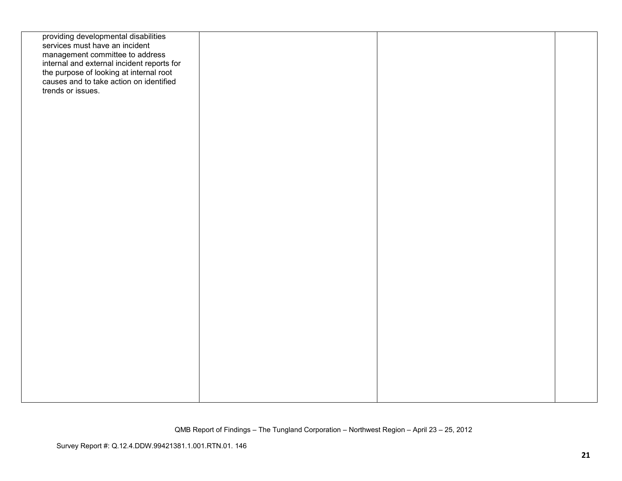| providing developmental disabilities<br>services must have an incident<br>management committee to address<br>internal and external incident reports for<br>the purpose of looking at internal root<br>causes and to take action on identified<br>trends or issues. |  |  |
|--------------------------------------------------------------------------------------------------------------------------------------------------------------------------------------------------------------------------------------------------------------------|--|--|
|                                                                                                                                                                                                                                                                    |  |  |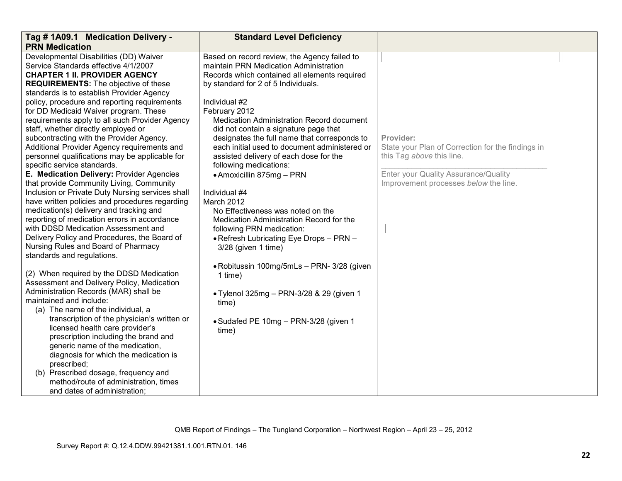| Tag # 1A09.1 Medication Delivery -               | <b>Standard Level Deficiency</b>              |                                                   |  |
|--------------------------------------------------|-----------------------------------------------|---------------------------------------------------|--|
| <b>PRN Medication</b>                            |                                               |                                                   |  |
| Developmental Disabilities (DD) Waiver           | Based on record review, the Agency failed to  |                                                   |  |
| Service Standards effective 4/1/2007             | maintain PRN Medication Administration        |                                                   |  |
| <b>CHAPTER 1 II. PROVIDER AGENCY</b>             | Records which contained all elements required |                                                   |  |
| <b>REQUIREMENTS:</b> The objective of these      | by standard for 2 of 5 Individuals.           |                                                   |  |
| standards is to establish Provider Agency        |                                               |                                                   |  |
| policy, procedure and reporting requirements     | Individual #2                                 |                                                   |  |
| for DD Medicaid Waiver program. These            | February 2012                                 |                                                   |  |
| requirements apply to all such Provider Agency   | Medication Administration Record document     |                                                   |  |
| staff, whether directly employed or              | did not contain a signature page that         |                                                   |  |
| subcontracting with the Provider Agency.         | designates the full name that corresponds to  | Provider:                                         |  |
| Additional Provider Agency requirements and      | each initial used to document administered or | State your Plan of Correction for the findings in |  |
| personnel qualifications may be applicable for   | assisted delivery of each dose for the        | this Tag above this line.                         |  |
| specific service standards.                      | following medications:                        |                                                   |  |
| E. Medication Delivery: Provider Agencies        | • Amoxicillin 875mg - PRN                     | Enter your Quality Assurance/Quality              |  |
| that provide Community Living, Community         |                                               | Improvement processes below the line.             |  |
| Inclusion or Private Duty Nursing services shall | Individual #4                                 |                                                   |  |
| have written policies and procedures regarding   | March 2012                                    |                                                   |  |
| medication(s) delivery and tracking and          | No Effectiveness was noted on the             |                                                   |  |
| reporting of medication errors in accordance     | Medication Administration Record for the      |                                                   |  |
| with DDSD Medication Assessment and              | following PRN medication:                     |                                                   |  |
| Delivery Policy and Procedures, the Board of     | • Refresh Lubricating Eye Drops - PRN -       |                                                   |  |
| Nursing Rules and Board of Pharmacy              | 3/28 (given 1 time)                           |                                                   |  |
| standards and regulations.                       |                                               |                                                   |  |
|                                                  | • Robitussin 100mg/5mLs - PRN- 3/28 (given    |                                                   |  |
| (2) When required by the DDSD Medication         | 1 time)                                       |                                                   |  |
| Assessment and Delivery Policy, Medication       |                                               |                                                   |  |
| Administration Records (MAR) shall be            | • Tylenol 325mg - PRN-3/28 & 29 (given 1      |                                                   |  |
| maintained and include:                          | time)                                         |                                                   |  |
| (a) The name of the individual, a                |                                               |                                                   |  |
| transcription of the physician's written or      | • Sudafed PE 10mg - PRN-3/28 (given 1         |                                                   |  |
| licensed health care provider's                  | time)                                         |                                                   |  |
| prescription including the brand and             |                                               |                                                   |  |
| generic name of the medication,                  |                                               |                                                   |  |
| diagnosis for which the medication is            |                                               |                                                   |  |
| prescribed;                                      |                                               |                                                   |  |
| (b) Prescribed dosage, frequency and             |                                               |                                                   |  |
| method/route of administration, times            |                                               |                                                   |  |
| and dates of administration;                     |                                               |                                                   |  |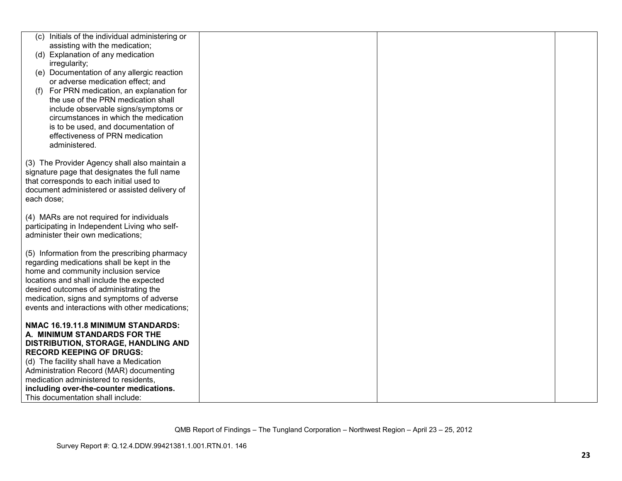|            | (c) Initials of the individual administering or |  |  |
|------------|-------------------------------------------------|--|--|
|            | assisting with the medication;                  |  |  |
|            | (d) Explanation of any medication               |  |  |
|            | irregularity;                                   |  |  |
|            | (e) Documentation of any allergic reaction      |  |  |
|            | or adverse medication effect; and               |  |  |
| (f)        | For PRN medication, an explanation for          |  |  |
|            | the use of the PRN medication shall             |  |  |
|            | include observable signs/symptoms or            |  |  |
|            | circumstances in which the medication           |  |  |
|            | is to be used, and documentation of             |  |  |
|            |                                                 |  |  |
|            | effectiveness of PRN medication                 |  |  |
|            | administered.                                   |  |  |
|            | (3) The Provider Agency shall also maintain a   |  |  |
|            | signature page that designates the full name    |  |  |
|            | that corresponds to each initial used to        |  |  |
|            | document administered or assisted delivery of   |  |  |
| each dose; |                                                 |  |  |
|            |                                                 |  |  |
|            | (4) MARs are not required for individuals       |  |  |
|            | participating in Independent Living who self-   |  |  |
|            | administer their own medications;               |  |  |
|            |                                                 |  |  |
|            | (5) Information from the prescribing pharmacy   |  |  |
|            | regarding medications shall be kept in the      |  |  |
|            | home and community inclusion service            |  |  |
|            | locations and shall include the expected        |  |  |
|            | desired outcomes of administrating the          |  |  |
|            | medication, signs and symptoms of adverse       |  |  |
|            | events and interactions with other medications; |  |  |
|            |                                                 |  |  |
|            | NMAC 16.19.11.8 MINIMUM STANDARDS:              |  |  |
|            | A. MINIMUM STANDARDS FOR THE                    |  |  |
|            | <b>DISTRIBUTION, STORAGE, HANDLING AND</b>      |  |  |
|            | <b>RECORD KEEPING OF DRUGS:</b>                 |  |  |
|            | (d) The facility shall have a Medication        |  |  |
|            | Administration Record (MAR) documenting         |  |  |
|            | medication administered to residents,           |  |  |
|            | including over-the-counter medications.         |  |  |
|            | This documentation shall include:               |  |  |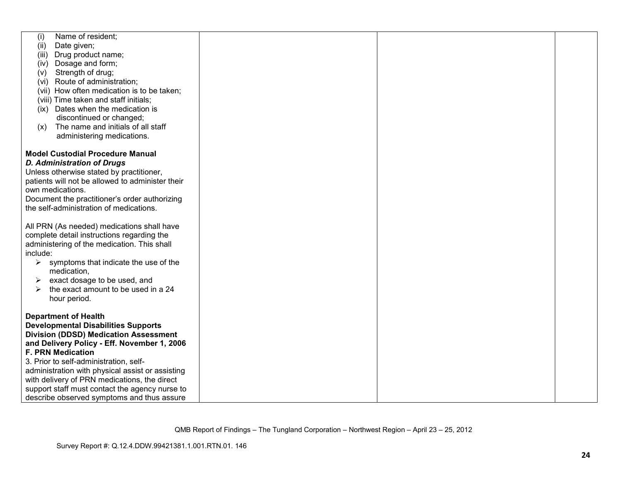| Name of resident;<br>(i)                                                |  |  |
|-------------------------------------------------------------------------|--|--|
| Date given;<br>(ii)                                                     |  |  |
| Drug product name;<br>(iii)                                             |  |  |
| (iv) Dosage and form;                                                   |  |  |
| Strength of drug;<br>(v)                                                |  |  |
| (vi) Route of administration;                                           |  |  |
| (vii) How often medication is to be taken;                              |  |  |
| (viii) Time taken and staff initials;                                   |  |  |
| (ix) Dates when the medication is                                       |  |  |
| discontinued or changed;                                                |  |  |
| The name and initials of all staff<br>(x)                               |  |  |
|                                                                         |  |  |
| administering medications.                                              |  |  |
|                                                                         |  |  |
| <b>Model Custodial Procedure Manual</b>                                 |  |  |
| <b>D. Administration of Drugs</b>                                       |  |  |
| Unless otherwise stated by practitioner,                                |  |  |
| patients will not be allowed to administer their                        |  |  |
| own medications.                                                        |  |  |
| Document the practitioner's order authorizing                           |  |  |
| the self-administration of medications.                                 |  |  |
|                                                                         |  |  |
| All PRN (As needed) medications shall have                              |  |  |
| complete detail instructions regarding the                              |  |  |
| administering of the medication. This shall                             |  |  |
| include:                                                                |  |  |
| symptoms that indicate the use of the<br>➤                              |  |  |
| medication,                                                             |  |  |
| exact dosage to be used, and<br>➤                                       |  |  |
| the exact amount to be used in a 24<br>➤                                |  |  |
| hour period.                                                            |  |  |
|                                                                         |  |  |
| <b>Department of Health</b>                                             |  |  |
| <b>Developmental Disabilities Supports</b>                              |  |  |
| <b>Division (DDSD) Medication Assessment</b>                            |  |  |
|                                                                         |  |  |
| and Delivery Policy - Eff. November 1, 2006<br><b>F. PRN Medication</b> |  |  |
|                                                                         |  |  |
| 3. Prior to self-administration, self-                                  |  |  |
| administration with physical assist or assisting                        |  |  |
| with delivery of PRN medications, the direct                            |  |  |
| support staff must contact the agency nurse to                          |  |  |
| describe observed symptoms and thus assure                              |  |  |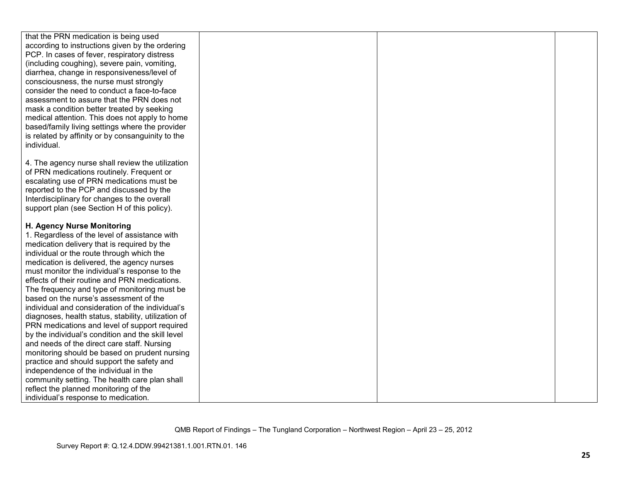| that the PRN medication is being used               |  |  |
|-----------------------------------------------------|--|--|
| according to instructions given by the ordering     |  |  |
| PCP. In cases of fever, respiratory distress        |  |  |
| (including coughing), severe pain, vomiting,        |  |  |
| diarrhea, change in responsiveness/level of         |  |  |
| consciousness, the nurse must strongly              |  |  |
| consider the need to conduct a face-to-face         |  |  |
| assessment to assure that the PRN does not          |  |  |
| mask a condition better treated by seeking          |  |  |
| medical attention. This does not apply to home      |  |  |
| based/family living settings where the provider     |  |  |
| is related by affinity or by consanguinity to the   |  |  |
| individual.                                         |  |  |
|                                                     |  |  |
| 4. The agency nurse shall review the utilization    |  |  |
| of PRN medications routinely. Frequent or           |  |  |
| escalating use of PRN medications must be           |  |  |
| reported to the PCP and discussed by the            |  |  |
| Interdisciplinary for changes to the overall        |  |  |
| support plan (see Section H of this policy).        |  |  |
|                                                     |  |  |
| H. Agency Nurse Monitoring                          |  |  |
| 1. Regardless of the level of assistance with       |  |  |
|                                                     |  |  |
| medication delivery that is required by the         |  |  |
| individual or the route through which the           |  |  |
| medication is delivered, the agency nurses          |  |  |
| must monitor the individual's response to the       |  |  |
| effects of their routine and PRN medications.       |  |  |
| The frequency and type of monitoring must be        |  |  |
| based on the nurse's assessment of the              |  |  |
| individual and consideration of the individual's    |  |  |
| diagnoses, health status, stability, utilization of |  |  |
| PRN medications and level of support required       |  |  |
| by the individual's condition and the skill level   |  |  |
| and needs of the direct care staff. Nursing         |  |  |
| monitoring should be based on prudent nursing       |  |  |
| practice and should support the safety and          |  |  |
| independence of the individual in the               |  |  |
| community setting. The health care plan shall       |  |  |
| reflect the planned monitoring of the               |  |  |
| individual's response to medication.                |  |  |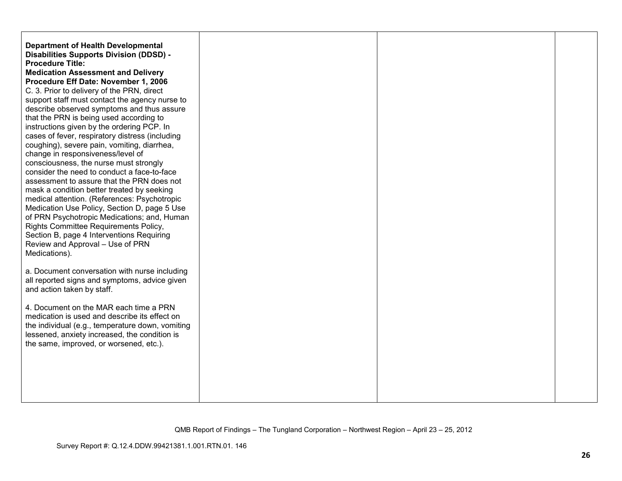| <b>Department of Health Developmental</b><br><b>Disabilities Supports Division (DDSD) -</b><br><b>Procedure Title:</b><br><b>Medication Assessment and Delivery</b><br>Procedure Eff Date: November 1, 2006<br>C. 3. Prior to delivery of the PRN, direct<br>support staff must contact the agency nurse to<br>describe observed symptoms and thus assure<br>that the PRN is being used according to<br>instructions given by the ordering PCP. In<br>cases of fever, respiratory distress (including<br>coughing), severe pain, vomiting, diarrhea,<br>change in responsiveness/level of<br>consciousness, the nurse must strongly<br>consider the need to conduct a face-to-face<br>assessment to assure that the PRN does not<br>mask a condition better treated by seeking<br>medical attention. (References: Psychotropic<br>Medication Use Policy, Section D, page 5 Use<br>of PRN Psychotropic Medications; and, Human<br>Rights Committee Requirements Policy,<br>Section B, page 4 Interventions Requiring<br>Review and Approval - Use of PRN<br>Medications). |  |  |
|--------------------------------------------------------------------------------------------------------------------------------------------------------------------------------------------------------------------------------------------------------------------------------------------------------------------------------------------------------------------------------------------------------------------------------------------------------------------------------------------------------------------------------------------------------------------------------------------------------------------------------------------------------------------------------------------------------------------------------------------------------------------------------------------------------------------------------------------------------------------------------------------------------------------------------------------------------------------------------------------------------------------------------------------------------------------------|--|--|
| a. Document conversation with nurse including<br>all reported signs and symptoms, advice given<br>and action taken by staff.                                                                                                                                                                                                                                                                                                                                                                                                                                                                                                                                                                                                                                                                                                                                                                                                                                                                                                                                             |  |  |
| 4. Document on the MAR each time a PRN<br>medication is used and describe its effect on<br>the individual (e.g., temperature down, vomiting<br>lessened, anxiety increased, the condition is<br>the same, improved, or worsened, etc.).                                                                                                                                                                                                                                                                                                                                                                                                                                                                                                                                                                                                                                                                                                                                                                                                                                  |  |  |
|                                                                                                                                                                                                                                                                                                                                                                                                                                                                                                                                                                                                                                                                                                                                                                                                                                                                                                                                                                                                                                                                          |  |  |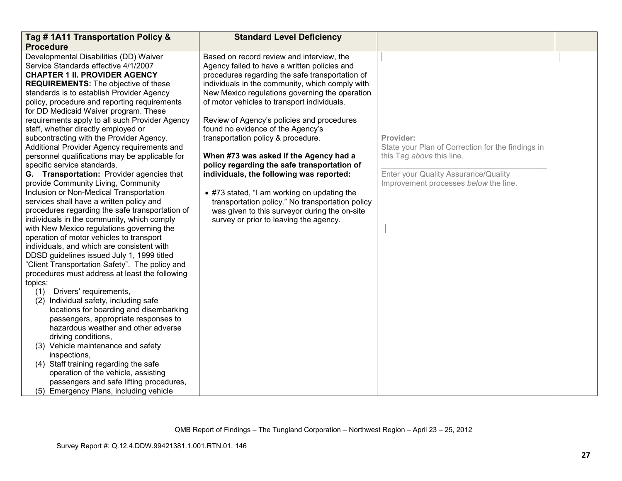| Tag #1A11 Transportation Policy &                                                      | <b>Standard Level Deficiency</b>                 |                                                   |  |
|----------------------------------------------------------------------------------------|--------------------------------------------------|---------------------------------------------------|--|
| <b>Procedure</b>                                                                       |                                                  |                                                   |  |
| Developmental Disabilities (DD) Waiver                                                 | Based on record review and interview, the        |                                                   |  |
| Service Standards effective 4/1/2007                                                   | Agency failed to have a written policies and     |                                                   |  |
| <b>CHAPTER 1 II. PROVIDER AGENCY</b>                                                   | procedures regarding the safe transportation of  |                                                   |  |
| <b>REQUIREMENTS:</b> The objective of these                                            | individuals in the community, which comply with  |                                                   |  |
| standards is to establish Provider Agency                                              | New Mexico regulations governing the operation   |                                                   |  |
| policy, procedure and reporting requirements                                           | of motor vehicles to transport individuals.      |                                                   |  |
| for DD Medicaid Waiver program. These                                                  |                                                  |                                                   |  |
| requirements apply to all such Provider Agency                                         | Review of Agency's policies and procedures       |                                                   |  |
| staff, whether directly employed or                                                    | found no evidence of the Agency's                |                                                   |  |
| subcontracting with the Provider Agency.                                               | transportation policy & procedure.               | Provider:                                         |  |
| Additional Provider Agency requirements and                                            |                                                  | State your Plan of Correction for the findings in |  |
| personnel qualifications may be applicable for                                         | When #73 was asked if the Agency had a           | this Tag above this line.                         |  |
| specific service standards.                                                            | policy regarding the safe transportation of      |                                                   |  |
| G. Transportation: Provider agencies that                                              | individuals, the following was reported:         | Enter your Quality Assurance/Quality              |  |
| provide Community Living, Community                                                    |                                                  | Improvement processes below the line.             |  |
| Inclusion or Non-Medical Transportation                                                | • #73 stated, "I am working on updating the      |                                                   |  |
| services shall have a written policy and                                               | transportation policy." No transportation policy |                                                   |  |
| procedures regarding the safe transportation of                                        | was given to this surveyor during the on-site    |                                                   |  |
| individuals in the community, which comply                                             | survey or prior to leaving the agency.           |                                                   |  |
| with New Mexico regulations governing the                                              |                                                  |                                                   |  |
| operation of motor vehicles to transport<br>individuals, and which are consistent with |                                                  |                                                   |  |
| DDSD guidelines issued July 1, 1999 titled                                             |                                                  |                                                   |  |
| "Client Transportation Safety". The policy and                                         |                                                  |                                                   |  |
| procedures must address at least the following                                         |                                                  |                                                   |  |
| topics:                                                                                |                                                  |                                                   |  |
| Drivers' requirements,<br>(1)                                                          |                                                  |                                                   |  |
| (2) Individual safety, including safe                                                  |                                                  |                                                   |  |
| locations for boarding and disembarking                                                |                                                  |                                                   |  |
| passengers, appropriate responses to                                                   |                                                  |                                                   |  |
| hazardous weather and other adverse                                                    |                                                  |                                                   |  |
| driving conditions,                                                                    |                                                  |                                                   |  |
| (3) Vehicle maintenance and safety                                                     |                                                  |                                                   |  |
| inspections,                                                                           |                                                  |                                                   |  |
| (4) Staff training regarding the safe                                                  |                                                  |                                                   |  |
| operation of the vehicle, assisting                                                    |                                                  |                                                   |  |
| passengers and safe lifting procedures,                                                |                                                  |                                                   |  |
| (5) Emergency Plans, including vehicle                                                 |                                                  |                                                   |  |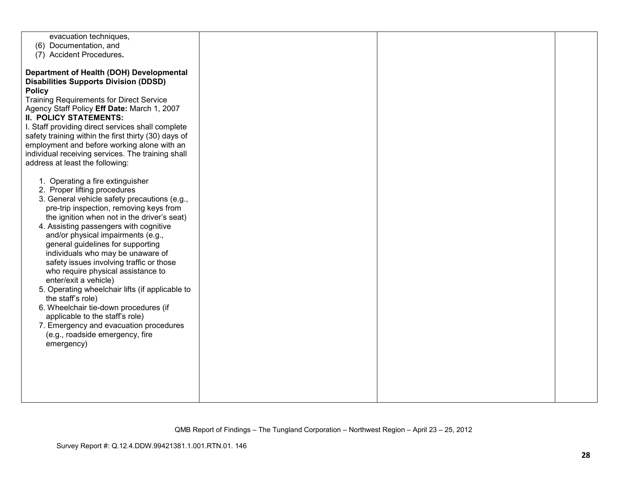| evacuation techniques,                                                                                    |  |  |
|-----------------------------------------------------------------------------------------------------------|--|--|
| (6) Documentation, and<br>(7) Accident Procedures.                                                        |  |  |
|                                                                                                           |  |  |
| Department of Health (DOH) Developmental                                                                  |  |  |
| <b>Disabilities Supports Division (DDSD)</b>                                                              |  |  |
| <b>Policy</b>                                                                                             |  |  |
| <b>Training Requirements for Direct Service</b>                                                           |  |  |
| Agency Staff Policy Eff Date: March 1, 2007                                                               |  |  |
| <b>II. POLICY STATEMENTS:</b>                                                                             |  |  |
| I. Staff providing direct services shall complete<br>safety training within the first thirty (30) days of |  |  |
| employment and before working alone with an                                                               |  |  |
| individual receiving services. The training shall                                                         |  |  |
| address at least the following:                                                                           |  |  |
|                                                                                                           |  |  |
| 1. Operating a fire extinguisher                                                                          |  |  |
| 2. Proper lifting procedures                                                                              |  |  |
| 3. General vehicle safety precautions (e.g.,                                                              |  |  |
| pre-trip inspection, removing keys from<br>the ignition when not in the driver's seat)                    |  |  |
| 4. Assisting passengers with cognitive                                                                    |  |  |
| and/or physical impairments (e.g.,                                                                        |  |  |
| general guidelines for supporting                                                                         |  |  |
| individuals who may be unaware of                                                                         |  |  |
| safety issues involving traffic or those                                                                  |  |  |
| who require physical assistance to<br>enter/exit a vehicle)                                               |  |  |
| 5. Operating wheelchair lifts (if applicable to                                                           |  |  |
| the staff's role)                                                                                         |  |  |
| 6. Wheelchair tie-down procedures (if                                                                     |  |  |
| applicable to the staff's role)                                                                           |  |  |
| 7. Emergency and evacuation procedures                                                                    |  |  |
| (e.g., roadside emergency, fire                                                                           |  |  |
| emergency)                                                                                                |  |  |
|                                                                                                           |  |  |
|                                                                                                           |  |  |
|                                                                                                           |  |  |
|                                                                                                           |  |  |
|                                                                                                           |  |  |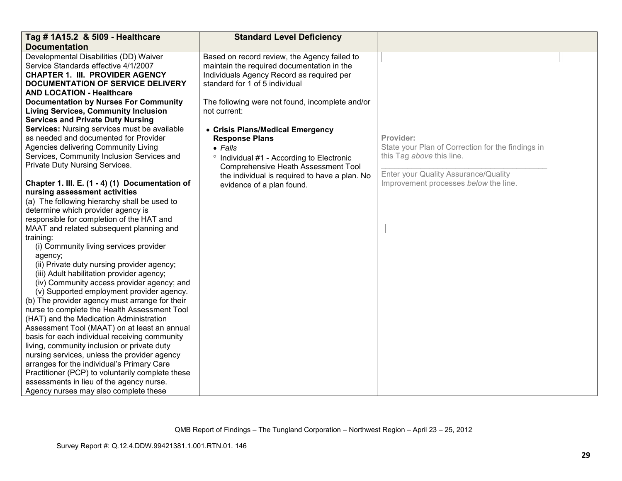| Tag # 1A15.2 & 5109 - Healthcare                 | <b>Standard Level Deficiency</b>                     |                                                   |  |
|--------------------------------------------------|------------------------------------------------------|---------------------------------------------------|--|
| <b>Documentation</b>                             |                                                      |                                                   |  |
| Developmental Disabilities (DD) Waiver           | Based on record review, the Agency failed to         |                                                   |  |
| Service Standards effective 4/1/2007             | maintain the required documentation in the           |                                                   |  |
| <b>CHAPTER 1. III. PROVIDER AGENCY</b>           | Individuals Agency Record as required per            |                                                   |  |
| DOCUMENTATION OF SERVICE DELIVERY                | standard for 1 of 5 individual                       |                                                   |  |
| <b>AND LOCATION - Healthcare</b>                 |                                                      |                                                   |  |
| <b>Documentation by Nurses For Community</b>     | The following were not found, incomplete and/or      |                                                   |  |
| <b>Living Services, Community Inclusion</b>      | not current:                                         |                                                   |  |
| <b>Services and Private Duty Nursing</b>         |                                                      |                                                   |  |
| Services: Nursing services must be available     | • Crisis Plans/Medical Emergency                     |                                                   |  |
| as needed and documented for Provider            | <b>Response Plans</b>                                | Provider:                                         |  |
| Agencies delivering Community Living             | $\bullet$ Falls                                      | State your Plan of Correction for the findings in |  |
| Services, Community Inclusion Services and       | <sup>o</sup> Individual #1 - According to Electronic | this Tag above this line.                         |  |
| Private Duty Nursing Services.                   | <b>Comprehensive Heath Assessment Tool</b>           |                                                   |  |
|                                                  | the individual is required to have a plan. No        | Enter your Quality Assurance/Quality              |  |
| Chapter 1. III. E. (1 - 4) (1) Documentation of  | evidence of a plan found.                            | Improvement processes below the line.             |  |
| nursing assessment activities                    |                                                      |                                                   |  |
| (a) The following hierarchy shall be used to     |                                                      |                                                   |  |
| determine which provider agency is               |                                                      |                                                   |  |
| responsible for completion of the HAT and        |                                                      |                                                   |  |
| MAAT and related subsequent planning and         |                                                      |                                                   |  |
| training:                                        |                                                      |                                                   |  |
| (i) Community living services provider           |                                                      |                                                   |  |
| agency;                                          |                                                      |                                                   |  |
| (ii) Private duty nursing provider agency;       |                                                      |                                                   |  |
| (iii) Adult habilitation provider agency;        |                                                      |                                                   |  |
| (iv) Community access provider agency; and       |                                                      |                                                   |  |
| (v) Supported employment provider agency.        |                                                      |                                                   |  |
| (b) The provider agency must arrange for their   |                                                      |                                                   |  |
| nurse to complete the Health Assessment Tool     |                                                      |                                                   |  |
| (HAT) and the Medication Administration          |                                                      |                                                   |  |
| Assessment Tool (MAAT) on at least an annual     |                                                      |                                                   |  |
| basis for each individual receiving community    |                                                      |                                                   |  |
| living, community inclusion or private duty      |                                                      |                                                   |  |
| nursing services, unless the provider agency     |                                                      |                                                   |  |
| arranges for the individual's Primary Care       |                                                      |                                                   |  |
| Practitioner (PCP) to voluntarily complete these |                                                      |                                                   |  |
| assessments in lieu of the agency nurse.         |                                                      |                                                   |  |
| Agency nurses may also complete these            |                                                      |                                                   |  |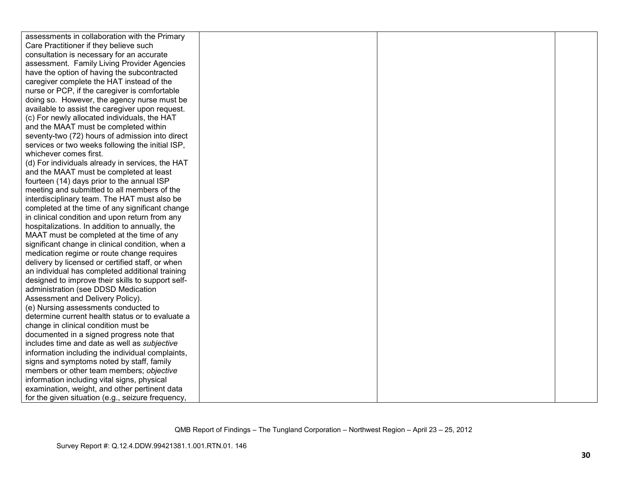| assessments in collaboration with the Primary     |  |  |
|---------------------------------------------------|--|--|
| Care Practitioner if they believe such            |  |  |
| consultation is necessary for an accurate         |  |  |
| assessment. Family Living Provider Agencies       |  |  |
| have the option of having the subcontracted       |  |  |
| caregiver complete the HAT instead of the         |  |  |
| nurse or PCP, if the caregiver is comfortable     |  |  |
| doing so. However, the agency nurse must be       |  |  |
| available to assist the caregiver upon request.   |  |  |
| (c) For newly allocated individuals, the HAT      |  |  |
| and the MAAT must be completed within             |  |  |
| seventy-two (72) hours of admission into direct   |  |  |
| services or two weeks following the initial ISP,  |  |  |
| whichever comes first.                            |  |  |
| (d) For individuals already in services, the HAT  |  |  |
| and the MAAT must be completed at least           |  |  |
| fourteen (14) days prior to the annual ISP        |  |  |
| meeting and submitted to all members of the       |  |  |
| interdisciplinary team. The HAT must also be      |  |  |
| completed at the time of any significant change   |  |  |
| in clinical condition and upon return from any    |  |  |
| hospitalizations. In addition to annually, the    |  |  |
| MAAT must be completed at the time of any         |  |  |
| significant change in clinical condition, when a  |  |  |
| medication regime or route change requires        |  |  |
| delivery by licensed or certified staff, or when  |  |  |
| an individual has completed additional training   |  |  |
| designed to improve their skills to support self- |  |  |
| administration (see DDSD Medication               |  |  |
| Assessment and Delivery Policy).                  |  |  |
| (e) Nursing assessments conducted to              |  |  |
| determine current health status or to evaluate a  |  |  |
| change in clinical condition must be              |  |  |
| documented in a signed progress note that         |  |  |
| includes time and date as well as subjective      |  |  |
| information including the individual complaints,  |  |  |
| signs and symptoms noted by staff, family         |  |  |
| members or other team members; objective          |  |  |
| information including vital signs, physical       |  |  |
| examination, weight, and other pertinent data     |  |  |
| for the given situation (e.g., seizure frequency, |  |  |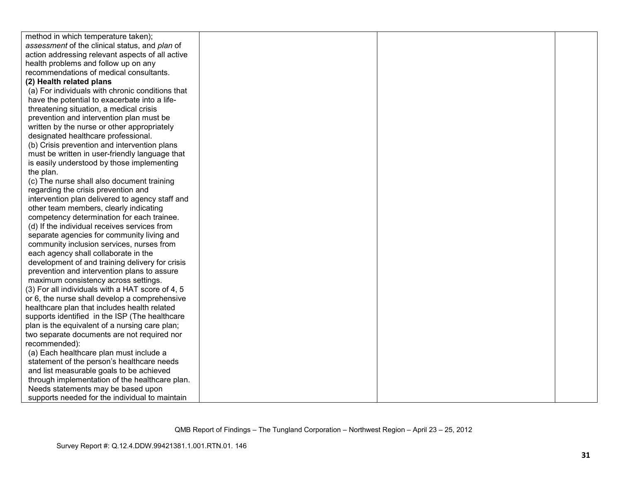| method in which temperature taken);              |  |  |
|--------------------------------------------------|--|--|
| assessment of the clinical status, and plan of   |  |  |
| action addressing relevant aspects of all active |  |  |
| health problems and follow up on any             |  |  |
| recommendations of medical consultants.          |  |  |
| (2) Health related plans                         |  |  |
| (a) For individuals with chronic conditions that |  |  |
| have the potential to exacerbate into a life-    |  |  |
| threatening situation, a medical crisis          |  |  |
| prevention and intervention plan must be         |  |  |
| written by the nurse or other appropriately      |  |  |
| designated healthcare professional.              |  |  |
| (b) Crisis prevention and intervention plans     |  |  |
| must be written in user-friendly language that   |  |  |
| is easily understood by those implementing       |  |  |
| the plan.                                        |  |  |
| (c) The nurse shall also document training       |  |  |
| regarding the crisis prevention and              |  |  |
| intervention plan delivered to agency staff and  |  |  |
| other team members, clearly indicating           |  |  |
| competency determination for each trainee.       |  |  |
| (d) If the individual receives services from     |  |  |
| separate agencies for community living and       |  |  |
| community inclusion services, nurses from        |  |  |
| each agency shall collaborate in the             |  |  |
| development of and training delivery for crisis  |  |  |
| prevention and intervention plans to assure      |  |  |
| maximum consistency across settings.             |  |  |
| (3) For all individuals with a HAT score of 4, 5 |  |  |
| or 6, the nurse shall develop a comprehensive    |  |  |
| healthcare plan that includes health related     |  |  |
| supports identified in the ISP (The healthcare   |  |  |
| plan is the equivalent of a nursing care plan;   |  |  |
| two separate documents are not required nor      |  |  |
| recommended):                                    |  |  |
| (a) Each healthcare plan must include a          |  |  |
| statement of the person's healthcare needs       |  |  |
| and list measurable goals to be achieved         |  |  |
| through implementation of the healthcare plan.   |  |  |
| Needs statements may be based upon               |  |  |
| supports needed for the individual to maintain   |  |  |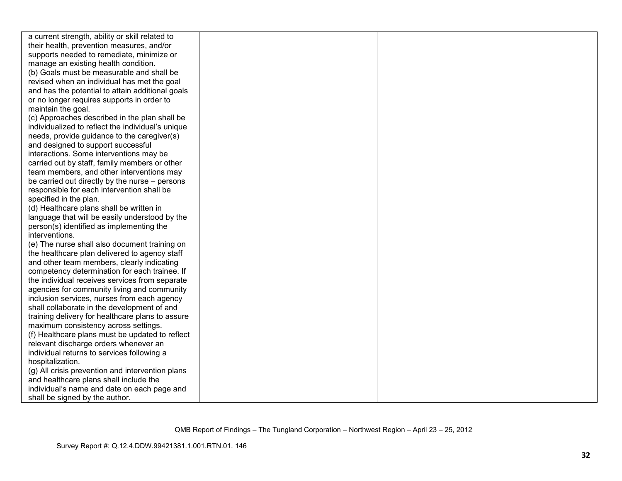| a current strength, ability or skill related to   |  |  |
|---------------------------------------------------|--|--|
| their health, prevention measures, and/or         |  |  |
| supports needed to remediate, minimize or         |  |  |
| manage an existing health condition.              |  |  |
| (b) Goals must be measurable and shall be         |  |  |
| revised when an individual has met the goal       |  |  |
| and has the potential to attain additional goals  |  |  |
| or no longer requires supports in order to        |  |  |
| maintain the goal.                                |  |  |
| (c) Approaches described in the plan shall be     |  |  |
| individualized to reflect the individual's unique |  |  |
| needs, provide guidance to the caregiver(s)       |  |  |
| and designed to support successful                |  |  |
| interactions. Some interventions may be           |  |  |
| carried out by staff, family members or other     |  |  |
| team members, and other interventions may         |  |  |
| be carried out directly by the nurse - persons    |  |  |
| responsible for each intervention shall be        |  |  |
| specified in the plan.                            |  |  |
| (d) Healthcare plans shall be written in          |  |  |
| language that will be easily understood by the    |  |  |
| person(s) identified as implementing the          |  |  |
| interventions.                                    |  |  |
| (e) The nurse shall also document training on     |  |  |
| the healthcare plan delivered to agency staff     |  |  |
| and other team members, clearly indicating        |  |  |
| competency determination for each trainee. If     |  |  |
| the individual receives services from separate    |  |  |
| agencies for community living and community       |  |  |
| inclusion services, nurses from each agency       |  |  |
| shall collaborate in the development of and       |  |  |
| training delivery for healthcare plans to assure  |  |  |
| maximum consistency across settings.              |  |  |
| (f) Healthcare plans must be updated to reflect   |  |  |
| relevant discharge orders whenever an             |  |  |
| individual returns to services following a        |  |  |
| hospitalization.                                  |  |  |
| (g) All crisis prevention and intervention plans  |  |  |
| and healthcare plans shall include the            |  |  |
| individual's name and date on each page and       |  |  |
| shall be signed by the author.                    |  |  |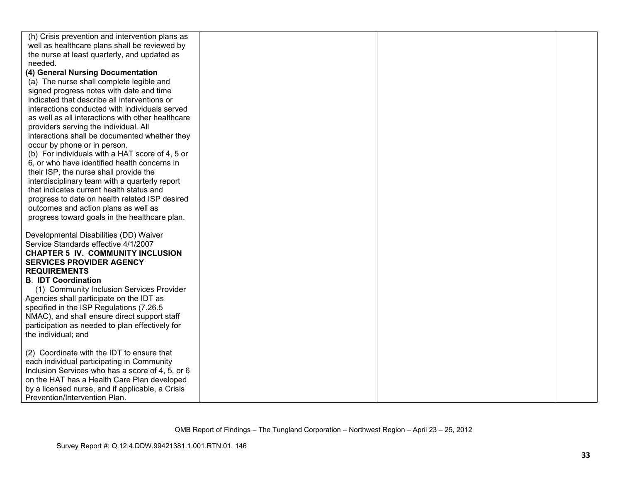| (h) Crisis prevention and intervention plans as   |  |  |
|---------------------------------------------------|--|--|
| well as healthcare plans shall be reviewed by     |  |  |
| the nurse at least quarterly, and updated as      |  |  |
| needed.                                           |  |  |
| (4) General Nursing Documentation                 |  |  |
| (a) The nurse shall complete legible and          |  |  |
| signed progress notes with date and time          |  |  |
| indicated that describe all interventions or      |  |  |
| interactions conducted with individuals served    |  |  |
| as well as all interactions with other healthcare |  |  |
| providers serving the individual. All             |  |  |
| interactions shall be documented whether they     |  |  |
| occur by phone or in person.                      |  |  |
| (b) For individuals with a HAT score of 4, 5 or   |  |  |
| 6, or who have identified health concerns in      |  |  |
| their ISP, the nurse shall provide the            |  |  |
| interdisciplinary team with a quarterly report    |  |  |
| that indicates current health status and          |  |  |
| progress to date on health related ISP desired    |  |  |
| outcomes and action plans as well as              |  |  |
| progress toward goals in the healthcare plan.     |  |  |
|                                                   |  |  |
| Developmental Disabilities (DD) Waiver            |  |  |
| Service Standards effective 4/1/2007              |  |  |
| <b>CHAPTER 5 IV. COMMUNITY INCLUSION</b>          |  |  |
| <b>SERVICES PROVIDER AGENCY</b>                   |  |  |
| <b>REQUIREMENTS</b>                               |  |  |
| <b>B. IDT Coordination</b>                        |  |  |
| (1) Community Inclusion Services Provider         |  |  |
| Agencies shall participate on the IDT as          |  |  |
| specified in the ISP Regulations (7.26.5          |  |  |
| NMAC), and shall ensure direct support staff      |  |  |
| participation as needed to plan effectively for   |  |  |
| the individual; and                               |  |  |
|                                                   |  |  |
| (2) Coordinate with the IDT to ensure that        |  |  |
| each individual participating in Community        |  |  |
| Inclusion Services who has a score of 4, 5, or 6  |  |  |
| on the HAT has a Health Care Plan developed       |  |  |
| by a licensed nurse, and if applicable, a Crisis  |  |  |
| Prevention/Intervention Plan.                     |  |  |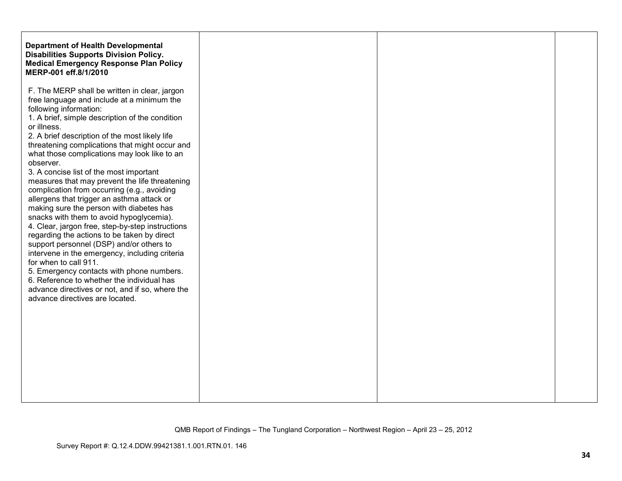| <b>Department of Health Developmental</b><br><b>Disabilities Supports Division Policy.</b><br><b>Medical Emergency Response Plan Policy</b><br>MERP-001 eff.8/1/2010 |
|----------------------------------------------------------------------------------------------------------------------------------------------------------------------|
|                                                                                                                                                                      |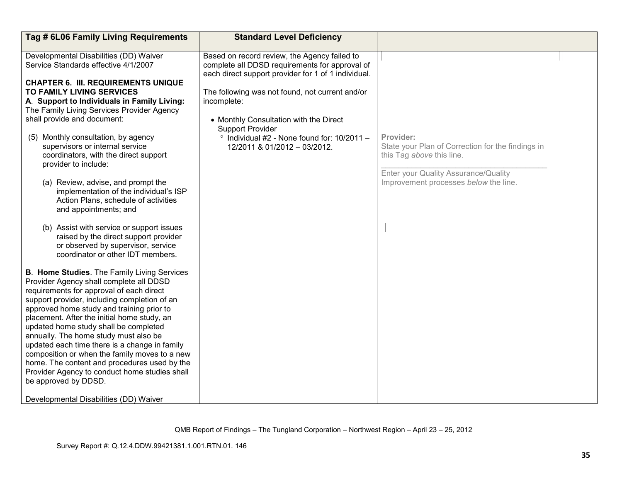| Tag # 6L06 Family Living Requirements                                                                                                                                                                                                                                                                                                                                                                                                                                                                                                                                                                                                                                                                                                                     | <b>Standard Level Deficiency</b>                                                                                                                                                                                                                                                                                                                                                    |                                                                                                                                                                              |  |
|-----------------------------------------------------------------------------------------------------------------------------------------------------------------------------------------------------------------------------------------------------------------------------------------------------------------------------------------------------------------------------------------------------------------------------------------------------------------------------------------------------------------------------------------------------------------------------------------------------------------------------------------------------------------------------------------------------------------------------------------------------------|-------------------------------------------------------------------------------------------------------------------------------------------------------------------------------------------------------------------------------------------------------------------------------------------------------------------------------------------------------------------------------------|------------------------------------------------------------------------------------------------------------------------------------------------------------------------------|--|
| Developmental Disabilities (DD) Waiver<br>Service Standards effective 4/1/2007<br><b>CHAPTER 6. III. REQUIREMENTS UNIQUE</b><br><b>TO FAMILY LIVING SERVICES</b><br>A. Support to Individuals in Family Living:<br>The Family Living Services Provider Agency<br>shall provide and document:<br>(5) Monthly consultation, by agency<br>supervisors or internal service<br>coordinators, with the direct support<br>provider to include:<br>(a) Review, advise, and prompt the<br>implementation of the individual's ISP<br>Action Plans, schedule of activities<br>and appointments; and<br>(b) Assist with service or support issues<br>raised by the direct support provider<br>or observed by supervisor, service<br>coordinator or other IDT members. | Based on record review, the Agency failed to<br>complete all DDSD requirements for approval of<br>each direct support provider for 1 of 1 individual.<br>The following was not found, not current and/or<br>incomplete:<br>• Monthly Consultation with the Direct<br><b>Support Provider</b><br>$\degree$ Individual #2 - None found for: 10/2011 -<br>12/2011 & 01/2012 - 03/2012. | Provider:<br>State your Plan of Correction for the findings in<br>this Tag above this line.<br>Enter your Quality Assurance/Quality<br>Improvement processes below the line. |  |
| B. Home Studies. The Family Living Services<br>Provider Agency shall complete all DDSD<br>requirements for approval of each direct<br>support provider, including completion of an<br>approved home study and training prior to<br>placement. After the initial home study, an<br>updated home study shall be completed<br>annually. The home study must also be<br>updated each time there is a change in family<br>composition or when the family moves to a new<br>home. The content and procedures used by the<br>Provider Agency to conduct home studies shall<br>be approved by DDSD.<br>Developmental Disabilities (DD) Waiver                                                                                                                     |                                                                                                                                                                                                                                                                                                                                                                                     |                                                                                                                                                                              |  |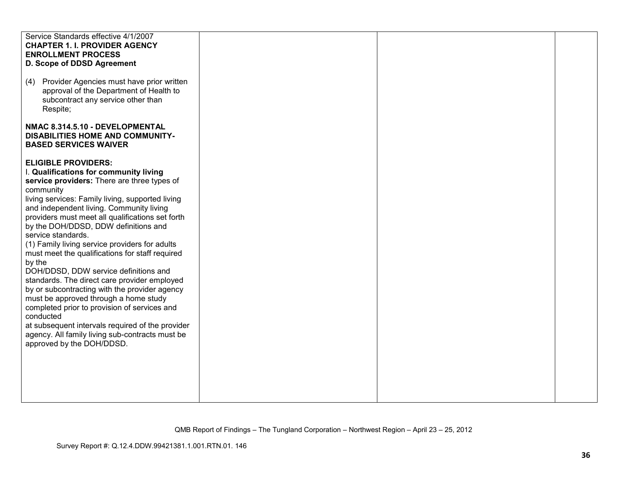| Service Standards effective 4/1/2007             |  |  |
|--------------------------------------------------|--|--|
|                                                  |  |  |
| <b>CHAPTER 1. I. PROVIDER AGENCY</b>             |  |  |
| <b>ENROLLMENT PROCESS</b>                        |  |  |
| D. Scope of DDSD Agreement                       |  |  |
|                                                  |  |  |
|                                                  |  |  |
| Provider Agencies must have prior written<br>(4) |  |  |
|                                                  |  |  |
| approval of the Department of Health to          |  |  |
| subcontract any service other than               |  |  |
|                                                  |  |  |
| Respite;                                         |  |  |
|                                                  |  |  |
| NMAC 8.314.5.10 - DEVELOPMENTAL                  |  |  |
|                                                  |  |  |
| <b>DISABILITIES HOME AND COMMUNITY-</b>          |  |  |
| <b>BASED SERVICES WAIVER</b>                     |  |  |
|                                                  |  |  |
|                                                  |  |  |
| <b>ELIGIBLE PROVIDERS:</b>                       |  |  |
| I. Qualifications for community living           |  |  |
|                                                  |  |  |
| service providers: There are three types of      |  |  |
| community                                        |  |  |
| living services: Family living, supported living |  |  |
|                                                  |  |  |
| and independent living. Community living         |  |  |
| providers must meet all qualifications set forth |  |  |
|                                                  |  |  |
| by the DOH/DDSD, DDW definitions and             |  |  |
| service standards.                               |  |  |
| (1) Family living service providers for adults   |  |  |
|                                                  |  |  |
| must meet the qualifications for staff required  |  |  |
| by the                                           |  |  |
|                                                  |  |  |
| DOH/DDSD, DDW service definitions and            |  |  |
| standards. The direct care provider employed     |  |  |
| by or subcontracting with the provider agency    |  |  |
|                                                  |  |  |
| must be approved through a home study            |  |  |
| completed prior to provision of services and     |  |  |
| conducted                                        |  |  |
|                                                  |  |  |
| at subsequent intervals required of the provider |  |  |
| agency. All family living sub-contracts must be  |  |  |
|                                                  |  |  |
| approved by the DOH/DDSD.                        |  |  |
|                                                  |  |  |
|                                                  |  |  |
|                                                  |  |  |
|                                                  |  |  |
|                                                  |  |  |
|                                                  |  |  |
|                                                  |  |  |
|                                                  |  |  |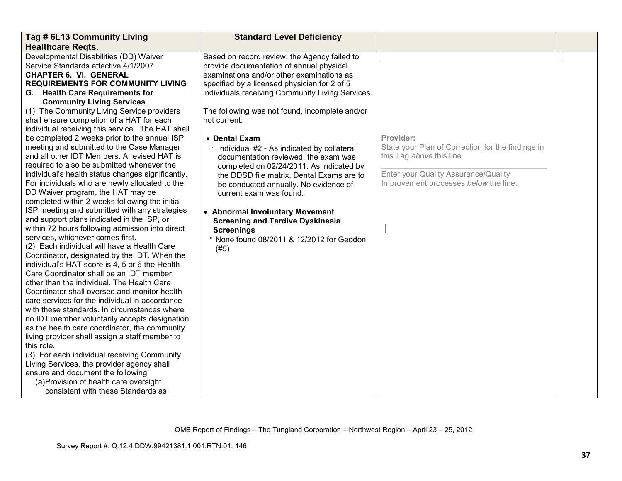| Tag # 6L13 Community Living                       | <b>Standard Level Deficiency</b>                 |                                                   |  |
|---------------------------------------------------|--------------------------------------------------|---------------------------------------------------|--|
| <b>Healthcare Regts.</b>                          |                                                  |                                                   |  |
| Developmental Disabilities (DD) Waiver            | Based on record review, the Agency failed to     |                                                   |  |
| Service Standards effective 4/1/2007              | provide documentation of annual physical         |                                                   |  |
| <b>CHAPTER 6. VI. GENERAL</b>                     | examinations and/or other examinations as        |                                                   |  |
| <b>REQUIREMENTS FOR COMMUNITY LIVING</b>          | specified by a licensed physician for 2 of 5     |                                                   |  |
| G. Health Care Requirements for                   | individuals receiving Community Living Services. |                                                   |  |
| <b>Community Living Services.</b>                 |                                                  |                                                   |  |
| (1) The Community Living Service providers        | The following was not found, incomplete and/or   |                                                   |  |
| shall ensure completion of a HAT for each         | not current:                                     |                                                   |  |
| individual receiving this service. The HAT shall  |                                                  |                                                   |  |
| be completed 2 weeks prior to the annual ISP      | • Dental Exam                                    | Provider:                                         |  |
| meeting and submitted to the Case Manager         | ° Individual #2 - As indicated by collateral     | State your Plan of Correction for the findings in |  |
| and all other IDT Members. A revised HAT is       | documentation reviewed, the exam was             | this Tag above this line.                         |  |
| required to also be submitted whenever the        | completed on 02/24/2011. As indicated by         |                                                   |  |
| individual's health status changes significantly. | the DDSD file matrix, Dental Exams are to        | Enter your Quality Assurance/Quality              |  |
| For individuals who are newly allocated to the    | be conducted annually. No evidence of            | Improvement processes below the line.             |  |
| DD Waiver program, the HAT may be                 | current exam was found.                          |                                                   |  |
| completed within 2 weeks following the initial    |                                                  |                                                   |  |
| ISP meeting and submitted with any strategies     | • Abnormal Involuntary Movement                  |                                                   |  |
| and support plans indicated in the ISP, or        | <b>Screening and Tardive Dyskinesia</b>          |                                                   |  |
| within 72 hours following admission into direct   | <b>Screenings</b>                                |                                                   |  |
| services, whichever comes first.                  | ° None found 08/2011 & 12/2012 for Geodon        |                                                   |  |
| (2) Each individual will have a Health Care       | (#5)                                             |                                                   |  |
| Coordinator, designated by the IDT. When the      |                                                  |                                                   |  |
| individual's HAT score is 4, 5 or 6 the Health    |                                                  |                                                   |  |
| Care Coordinator shall be an IDT member,          |                                                  |                                                   |  |
| other than the individual. The Health Care        |                                                  |                                                   |  |
| Coordinator shall oversee and monitor health      |                                                  |                                                   |  |
| care services for the individual in accordance    |                                                  |                                                   |  |
| with these standards. In circumstances where      |                                                  |                                                   |  |
| no IDT member voluntarily accepts designation     |                                                  |                                                   |  |
| as the health care coordinator, the community     |                                                  |                                                   |  |
| living provider shall assign a staff member to    |                                                  |                                                   |  |
| this role.                                        |                                                  |                                                   |  |
| (3) For each individual receiving Community       |                                                  |                                                   |  |
| Living Services, the provider agency shall        |                                                  |                                                   |  |
| ensure and document the following:                |                                                  |                                                   |  |
| (a) Provision of health care oversight            |                                                  |                                                   |  |
| consistent with these Standards as                |                                                  |                                                   |  |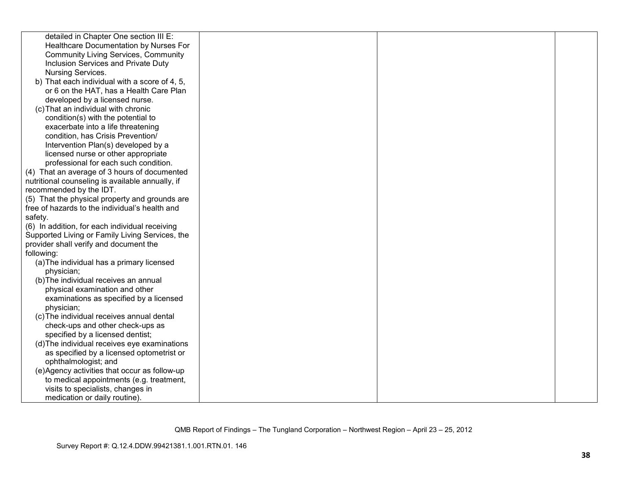| detailed in Chapter One section III E:           |  |  |
|--------------------------------------------------|--|--|
| Healthcare Documentation by Nurses For           |  |  |
| <b>Community Living Services, Community</b>      |  |  |
| Inclusion Services and Private Duty              |  |  |
| Nursing Services.                                |  |  |
| b) That each individual with a score of 4, 5,    |  |  |
| or 6 on the HAT, has a Health Care Plan          |  |  |
| developed by a licensed nurse.                   |  |  |
| (c) That an individual with chronic              |  |  |
| condition(s) with the potential to               |  |  |
| exacerbate into a life threatening               |  |  |
| condition, has Crisis Prevention/                |  |  |
| Intervention Plan(s) developed by a              |  |  |
| licensed nurse or other appropriate              |  |  |
| professional for each such condition.            |  |  |
| (4) That an average of 3 hours of documented     |  |  |
| nutritional counseling is available annually, if |  |  |
| recommended by the IDT.                          |  |  |
| (5) That the physical property and grounds are   |  |  |
| free of hazards to the individual's health and   |  |  |
| safety.                                          |  |  |
| (6) In addition, for each individual receiving   |  |  |
| Supported Living or Family Living Services, the  |  |  |
| provider shall verify and document the           |  |  |
| following:                                       |  |  |
| (a) The individual has a primary licensed        |  |  |
| physician;                                       |  |  |
| (b) The individual receives an annual            |  |  |
| physical examination and other                   |  |  |
| examinations as specified by a licensed          |  |  |
| physician;                                       |  |  |
| (c) The individual receives annual dental        |  |  |
| check-ups and other check-ups as                 |  |  |
| specified by a licensed dentist;                 |  |  |
| (d) The individual receives eye examinations     |  |  |
| as specified by a licensed optometrist or        |  |  |
| ophthalmologist; and                             |  |  |
| (e)Agency activities that occur as follow-up     |  |  |
| to medical appointments (e.g. treatment,         |  |  |
| visits to specialists, changes in                |  |  |
| medication or daily routine).                    |  |  |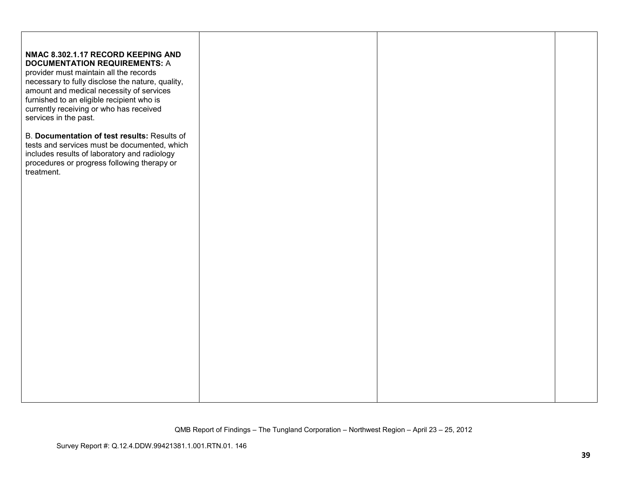| NMAC 8.302.1.17 RECORD KEEPING AND<br><b>DOCUMENTATION REQUIREMENTS: A</b><br>provider must maintain all the records<br>necessary to fully disclose the nature, quality,<br>amount and medical necessity of services<br>furnished to an eligible recipient who is<br>currently receiving or who has received<br>services in the past. |  |  |
|---------------------------------------------------------------------------------------------------------------------------------------------------------------------------------------------------------------------------------------------------------------------------------------------------------------------------------------|--|--|
| B. Documentation of test results: Results of<br>tests and services must be documented, which<br>includes results of laboratory and radiology<br>procedures or progress following therapy or<br>treatment.                                                                                                                             |  |  |
|                                                                                                                                                                                                                                                                                                                                       |  |  |
|                                                                                                                                                                                                                                                                                                                                       |  |  |
|                                                                                                                                                                                                                                                                                                                                       |  |  |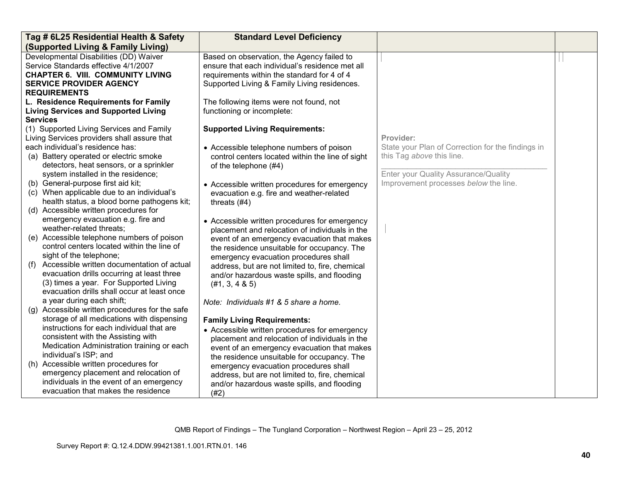| <b>Standard Level Deficiency</b><br>Tag # 6L25 Residential Health & Safety                                                              |  |
|-----------------------------------------------------------------------------------------------------------------------------------------|--|
| (Supported Living & Family Living)                                                                                                      |  |
| Developmental Disabilities (DD) Waiver<br>Based on observation, the Agency failed to                                                    |  |
| Service Standards effective 4/1/2007<br>ensure that each individual's residence met all                                                 |  |
| <b>CHAPTER 6. VIII. COMMUNITY LIVING</b><br>requirements within the standard for 4 of 4                                                 |  |
| <b>SERVICE PROVIDER AGENCY</b><br>Supported Living & Family Living residences.                                                          |  |
| <b>REQUIREMENTS</b>                                                                                                                     |  |
| L. Residence Requirements for Family<br>The following items were not found, not                                                         |  |
| <b>Living Services and Supported Living</b><br>functioning or incomplete:                                                               |  |
| <b>Services</b>                                                                                                                         |  |
| <b>Supported Living Requirements:</b><br>(1) Supported Living Services and Family                                                       |  |
| Living Services providers shall assure that<br>Provider:                                                                                |  |
| each individual's residence has:<br>State your Plan of Correction for the findings in<br>• Accessible telephone numbers of poison       |  |
| this Tag above this line.<br>(a) Battery operated or electric smoke<br>control centers located within the line of sight                 |  |
| detectors, heat sensors, or a sprinkler<br>of the telephone (#4)                                                                        |  |
| Enter your Quality Assurance/Quality<br>system installed in the residence;                                                              |  |
| Improvement processes below the line.<br>(b) General-purpose first aid kit;<br>• Accessible written procedures for emergency            |  |
| (c) When applicable due to an individual's<br>evacuation e.g. fire and weather-related                                                  |  |
| health status, a blood borne pathogens kit;<br>threats $(#4)$                                                                           |  |
| (d) Accessible written procedures for                                                                                                   |  |
| emergency evacuation e.g. fire and<br>• Accessible written procedures for emergency                                                     |  |
| weather-related threats;<br>placement and relocation of individuals in the                                                              |  |
| (e) Accessible telephone numbers of poison<br>event of an emergency evacuation that makes<br>control centers located within the line of |  |
| the residence unsuitable for occupancy. The<br>sight of the telephone;                                                                  |  |
| emergency evacuation procedures shall<br>Accessible written documentation of actual                                                     |  |
| (1)<br>address, but are not limited to, fire, chemical<br>evacuation drills occurring at least three                                    |  |
| and/or hazardous waste spills, and flooding<br>(3) times a year. For Supported Living                                                   |  |
| (#1, 3, 4 & 5)<br>evacuation drills shall occur at least once                                                                           |  |
| a year during each shift;<br>Note: Individuals #1 & 5 share a home.                                                                     |  |
| (g) Accessible written procedures for the safe                                                                                          |  |
| storage of all medications with dispensing<br><b>Family Living Requirements:</b>                                                        |  |
| instructions for each individual that are<br>• Accessible written procedures for emergency                                              |  |
| consistent with the Assisting with<br>placement and relocation of individuals in the                                                    |  |
| Medication Administration training or each<br>event of an emergency evacuation that makes                                               |  |
| individual's ISP; and<br>the residence unsuitable for occupancy. The                                                                    |  |
| (h) Accessible written procedures for<br>emergency evacuation procedures shall                                                          |  |
| emergency placement and relocation of<br>address, but are not limited to, fire, chemical                                                |  |
| individuals in the event of an emergency<br>and/or hazardous waste spills, and flooding                                                 |  |
| evacuation that makes the residence<br>(#2)                                                                                             |  |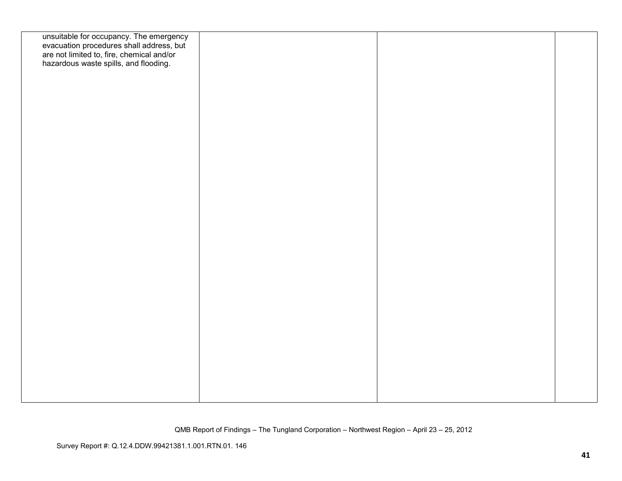| unsuitable for occupancy. The emergency<br>evacuation procedures shall address, but<br>are not limited to, fire, chemical and/or<br>hazardous waste spills, and flooding. |  |  |
|---------------------------------------------------------------------------------------------------------------------------------------------------------------------------|--|--|
|                                                                                                                                                                           |  |  |
|                                                                                                                                                                           |  |  |
|                                                                                                                                                                           |  |  |
|                                                                                                                                                                           |  |  |
|                                                                                                                                                                           |  |  |
|                                                                                                                                                                           |  |  |
|                                                                                                                                                                           |  |  |
|                                                                                                                                                                           |  |  |
|                                                                                                                                                                           |  |  |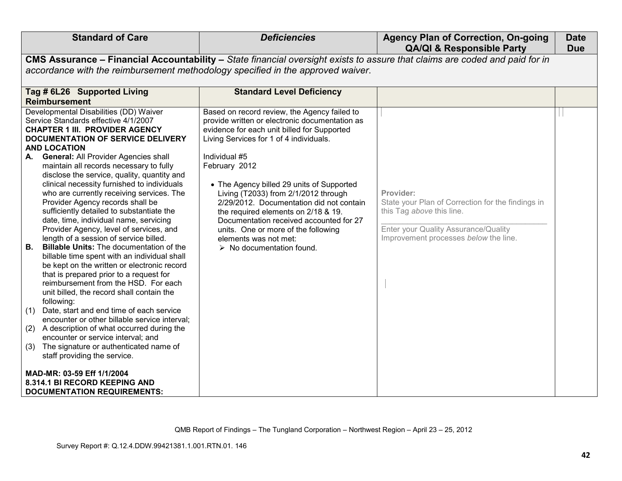| <b>Standard of Care</b>                                                                                                                                                                                                                                                                                                                                                                                                                                                                                                                                                                                                                                                                                                                                                                                                                                                                                                                                                                                                                                                                                                                                                                                                     | <b>Deficiencies</b>                                                                                                                                                                                                                                                                                                                                                                                                                                                                                                                                       | <b>Agency Plan of Correction, On-going</b><br><b>QA/QI &amp; Responsible Party</b>                                                                                           | <b>Date</b><br><b>Due</b> |
|-----------------------------------------------------------------------------------------------------------------------------------------------------------------------------------------------------------------------------------------------------------------------------------------------------------------------------------------------------------------------------------------------------------------------------------------------------------------------------------------------------------------------------------------------------------------------------------------------------------------------------------------------------------------------------------------------------------------------------------------------------------------------------------------------------------------------------------------------------------------------------------------------------------------------------------------------------------------------------------------------------------------------------------------------------------------------------------------------------------------------------------------------------------------------------------------------------------------------------|-----------------------------------------------------------------------------------------------------------------------------------------------------------------------------------------------------------------------------------------------------------------------------------------------------------------------------------------------------------------------------------------------------------------------------------------------------------------------------------------------------------------------------------------------------------|------------------------------------------------------------------------------------------------------------------------------------------------------------------------------|---------------------------|
|                                                                                                                                                                                                                                                                                                                                                                                                                                                                                                                                                                                                                                                                                                                                                                                                                                                                                                                                                                                                                                                                                                                                                                                                                             | CMS Assurance - Financial Accountability - State financial oversight exists to assure that claims are coded and paid for in                                                                                                                                                                                                                                                                                                                                                                                                                               |                                                                                                                                                                              |                           |
| accordance with the reimbursement methodology specified in the approved waiver.                                                                                                                                                                                                                                                                                                                                                                                                                                                                                                                                                                                                                                                                                                                                                                                                                                                                                                                                                                                                                                                                                                                                             |                                                                                                                                                                                                                                                                                                                                                                                                                                                                                                                                                           |                                                                                                                                                                              |                           |
| Tag # 6L26 Supported Living                                                                                                                                                                                                                                                                                                                                                                                                                                                                                                                                                                                                                                                                                                                                                                                                                                                                                                                                                                                                                                                                                                                                                                                                 | <b>Standard Level Deficiency</b>                                                                                                                                                                                                                                                                                                                                                                                                                                                                                                                          |                                                                                                                                                                              |                           |
| <b>Reimbursement</b>                                                                                                                                                                                                                                                                                                                                                                                                                                                                                                                                                                                                                                                                                                                                                                                                                                                                                                                                                                                                                                                                                                                                                                                                        |                                                                                                                                                                                                                                                                                                                                                                                                                                                                                                                                                           |                                                                                                                                                                              |                           |
| Developmental Disabilities (DD) Waiver<br>Service Standards effective 4/1/2007<br><b>CHAPTER 1 III. PROVIDER AGENCY</b><br>DOCUMENTATION OF SERVICE DELIVERY<br><b>AND LOCATION</b><br>A. General: All Provider Agencies shall<br>maintain all records necessary to fully<br>disclose the service, quality, quantity and<br>clinical necessity furnished to individuals<br>who are currently receiving services. The<br>Provider Agency records shall be<br>sufficiently detailed to substantiate the<br>date, time, individual name, servicing<br>Provider Agency, level of services, and<br>length of a session of service billed.<br><b>B</b> .<br><b>Billable Units:</b> The documentation of the<br>billable time spent with an individual shall<br>be kept on the written or electronic record<br>that is prepared prior to a request for<br>reimbursement from the HSD. For each<br>unit billed, the record shall contain the<br>following:<br>(1) Date, start and end time of each service<br>encounter or other billable service interval;<br>(2) A description of what occurred during the<br>encounter or service interval; and<br>The signature or authenticated name of<br>(3)<br>staff providing the service. | Based on record review, the Agency failed to<br>provide written or electronic documentation as<br>evidence for each unit billed for Supported<br>Living Services for 1 of 4 individuals.<br>Individual #5<br>February 2012<br>• The Agency billed 29 units of Supported<br>Living (T2033) from 2/1/2012 through<br>2/29/2012. Documentation did not contain<br>the required elements on 2/18 & 19.<br>Documentation received accounted for 27<br>units. One or more of the following<br>elements was not met:<br>$\triangleright$ No documentation found. | Provider:<br>State your Plan of Correction for the findings in<br>this Tag above this line.<br>Enter your Quality Assurance/Quality<br>Improvement processes below the line. |                           |
| MAD-MR: 03-59 Eff 1/1/2004<br>8.314.1 BI RECORD KEEPING AND<br><b>DOCUMENTATION REQUIREMENTS:</b>                                                                                                                                                                                                                                                                                                                                                                                                                                                                                                                                                                                                                                                                                                                                                                                                                                                                                                                                                                                                                                                                                                                           |                                                                                                                                                                                                                                                                                                                                                                                                                                                                                                                                                           |                                                                                                                                                                              |                           |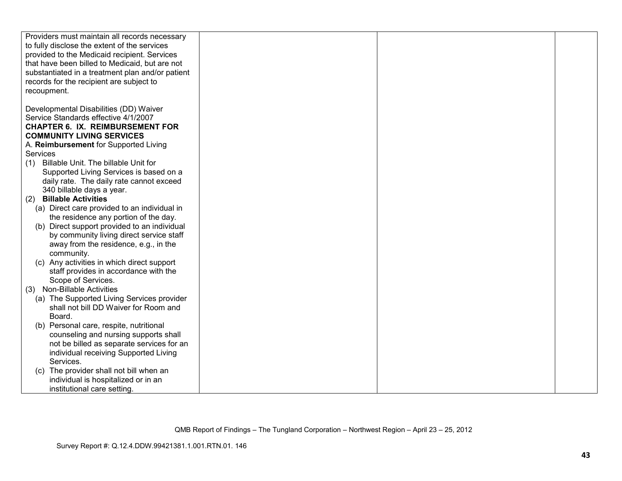| Providers must maintain all records necessary    |  |  |
|--------------------------------------------------|--|--|
| to fully disclose the extent of the services     |  |  |
| provided to the Medicaid recipient. Services     |  |  |
| that have been billed to Medicaid, but are not   |  |  |
| substantiated in a treatment plan and/or patient |  |  |
|                                                  |  |  |
| records for the recipient are subject to         |  |  |
| recoupment.                                      |  |  |
|                                                  |  |  |
| Developmental Disabilities (DD) Waiver           |  |  |
| Service Standards effective 4/1/2007             |  |  |
| <b>CHAPTER 6. IX. REIMBURSEMENT FOR</b>          |  |  |
| <b>COMMUNITY LIVING SERVICES</b>                 |  |  |
| A. Reimbursement for Supported Living            |  |  |
| Services                                         |  |  |
| Billable Unit. The billable Unit for<br>(1)      |  |  |
| Supported Living Services is based on a          |  |  |
| daily rate. The daily rate cannot exceed         |  |  |
| 340 billable days a year.                        |  |  |
| <b>Billable Activities</b><br>(2)                |  |  |
| (a) Direct care provided to an individual in     |  |  |
| the residence any portion of the day.            |  |  |
| Direct support provided to an individual<br>(b)  |  |  |
| by community living direct service staff         |  |  |
| away from the residence, e.g., in the            |  |  |
| community.                                       |  |  |
| (c) Any activities in which direct support       |  |  |
| staff provides in accordance with the            |  |  |
| Scope of Services.                               |  |  |
| <b>Non-Billable Activities</b><br>(3)            |  |  |
| (a) The Supported Living Services provider       |  |  |
| shall not bill DD Waiver for Room and            |  |  |
| Board.                                           |  |  |
| (b) Personal care, respite, nutritional          |  |  |
| counseling and nursing supports shall            |  |  |
| not be billed as separate services for an        |  |  |
| individual receiving Supported Living            |  |  |
| Services.                                        |  |  |
| The provider shall not bill when an<br>(C)       |  |  |
|                                                  |  |  |
| individual is hospitalized or in an              |  |  |
| institutional care setting.                      |  |  |